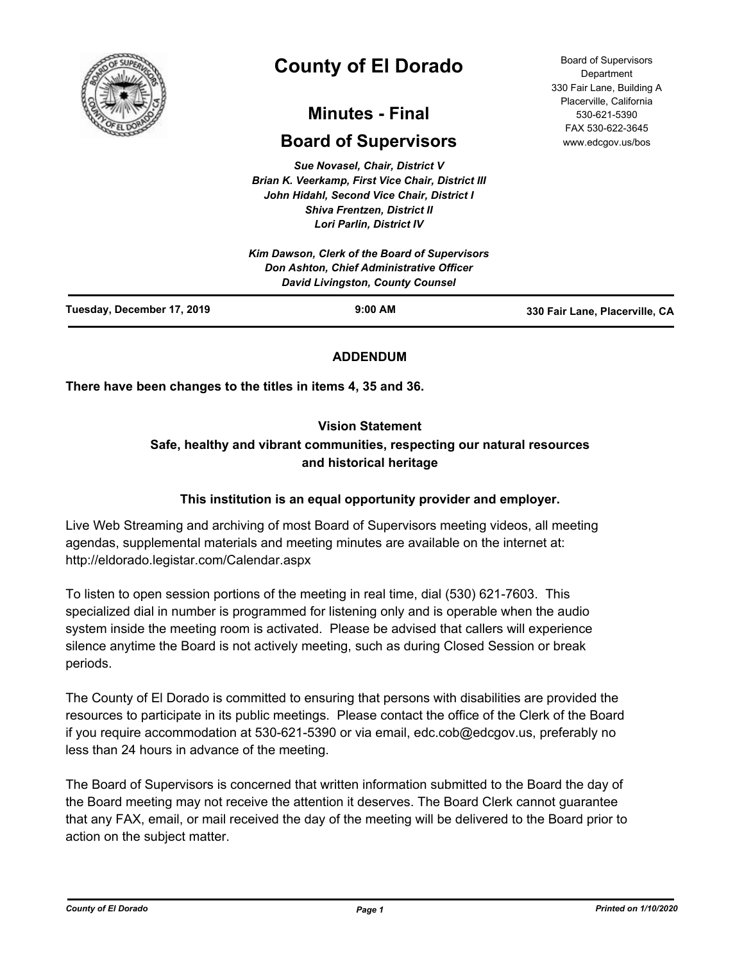

# **County of El Dorado**

## **Minutes - Final**

## **Board of Supervisors**

*Sue Novasel, Chair, District V Brian K. Veerkamp, First Vice Chair, District III John Hidahl, Second Vice Chair, District I Shiva Frentzen, District II Lori Parlin, District IV*

Board of Supervisors Department 330 Fair Lane, Building A Placerville, California 530-621-5390 FAX 530-622-3645 www.edcgov.us/bos

|                            | Kim Dawson, Clerk of the Board of Supervisors<br>Don Ashton, Chief Administrative Officer<br>David Livingston, County Counsel |                                |
|----------------------------|-------------------------------------------------------------------------------------------------------------------------------|--------------------------------|
| Tuesday, December 17, 2019 | $9:00$ AM                                                                                                                     | 330 Fair Lane, Placerville, CA |

## **ADDENDUM**

**There have been changes to the titles in items 4, 35 and 36.**

## **Vision Statement**

## **Safe, healthy and vibrant communities, respecting our natural resources and historical heritage**

## **This institution is an equal opportunity provider and employer.**

Live Web Streaming and archiving of most Board of Supervisors meeting videos, all meeting agendas, supplemental materials and meeting minutes are available on the internet at: http://eldorado.legistar.com/Calendar.aspx

To listen to open session portions of the meeting in real time, dial (530) 621-7603. This specialized dial in number is programmed for listening only and is operable when the audio system inside the meeting room is activated. Please be advised that callers will experience silence anytime the Board is not actively meeting, such as during Closed Session or break periods.

The County of El Dorado is committed to ensuring that persons with disabilities are provided the resources to participate in its public meetings. Please contact the office of the Clerk of the Board if you require accommodation at 530-621-5390 or via email, edc.cob@edcgov.us, preferably no less than 24 hours in advance of the meeting.

The Board of Supervisors is concerned that written information submitted to the Board the day of the Board meeting may not receive the attention it deserves. The Board Clerk cannot guarantee that any FAX, email, or mail received the day of the meeting will be delivered to the Board prior to action on the subject matter.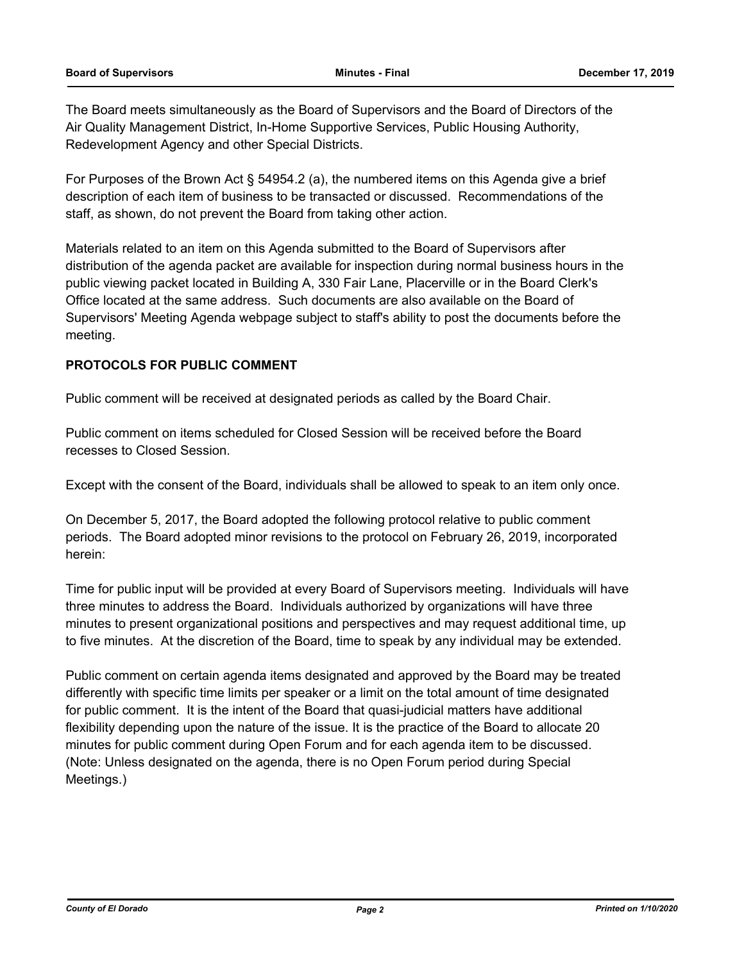The Board meets simultaneously as the Board of Supervisors and the Board of Directors of the Air Quality Management District, In-Home Supportive Services, Public Housing Authority, Redevelopment Agency and other Special Districts.

For Purposes of the Brown Act § 54954.2 (a), the numbered items on this Agenda give a brief description of each item of business to be transacted or discussed. Recommendations of the staff, as shown, do not prevent the Board from taking other action.

Materials related to an item on this Agenda submitted to the Board of Supervisors after distribution of the agenda packet are available for inspection during normal business hours in the public viewing packet located in Building A, 330 Fair Lane, Placerville or in the Board Clerk's Office located at the same address. Such documents are also available on the Board of Supervisors' Meeting Agenda webpage subject to staff's ability to post the documents before the meeting.

#### **PROTOCOLS FOR PUBLIC COMMENT**

Public comment will be received at designated periods as called by the Board Chair.

Public comment on items scheduled for Closed Session will be received before the Board recesses to Closed Session.

Except with the consent of the Board, individuals shall be allowed to speak to an item only once.

On December 5, 2017, the Board adopted the following protocol relative to public comment periods. The Board adopted minor revisions to the protocol on February 26, 2019, incorporated herein:

Time for public input will be provided at every Board of Supervisors meeting. Individuals will have three minutes to address the Board. Individuals authorized by organizations will have three minutes to present organizational positions and perspectives and may request additional time, up to five minutes. At the discretion of the Board, time to speak by any individual may be extended.

Public comment on certain agenda items designated and approved by the Board may be treated differently with specific time limits per speaker or a limit on the total amount of time designated for public comment. It is the intent of the Board that quasi-judicial matters have additional flexibility depending upon the nature of the issue. It is the practice of the Board to allocate 20 minutes for public comment during Open Forum and for each agenda item to be discussed. (Note: Unless designated on the agenda, there is no Open Forum period during Special Meetings.)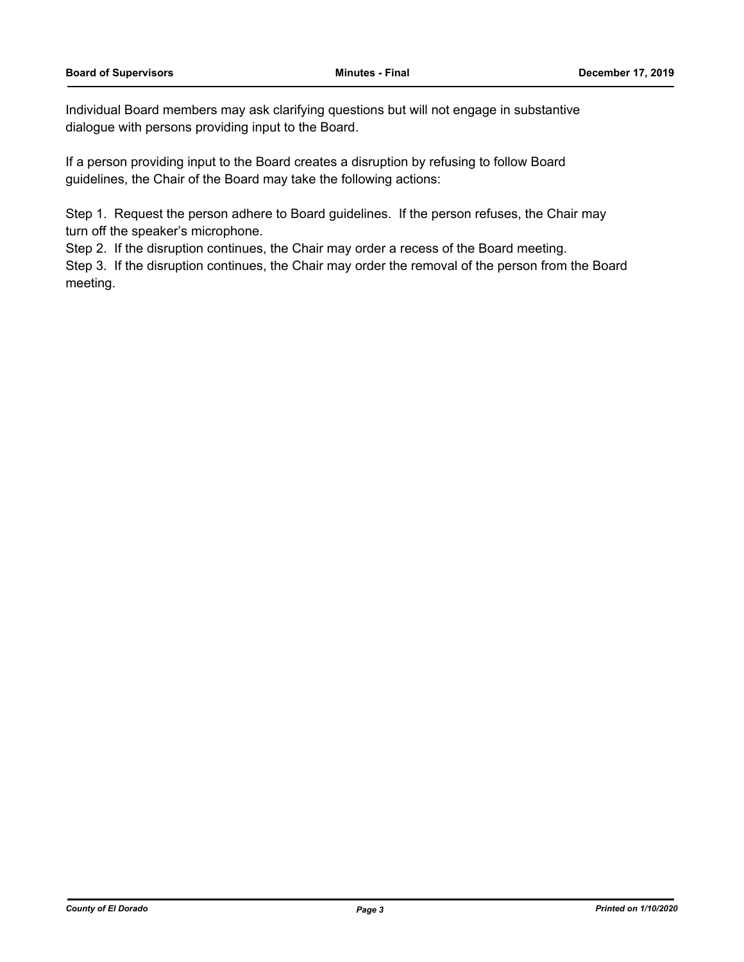Individual Board members may ask clarifying questions but will not engage in substantive dialogue with persons providing input to the Board.

If a person providing input to the Board creates a disruption by refusing to follow Board guidelines, the Chair of the Board may take the following actions:

Step 1. Request the person adhere to Board guidelines. If the person refuses, the Chair may turn off the speaker's microphone.

Step 2. If the disruption continues, the Chair may order a recess of the Board meeting.

Step 3. If the disruption continues, the Chair may order the removal of the person from the Board meeting.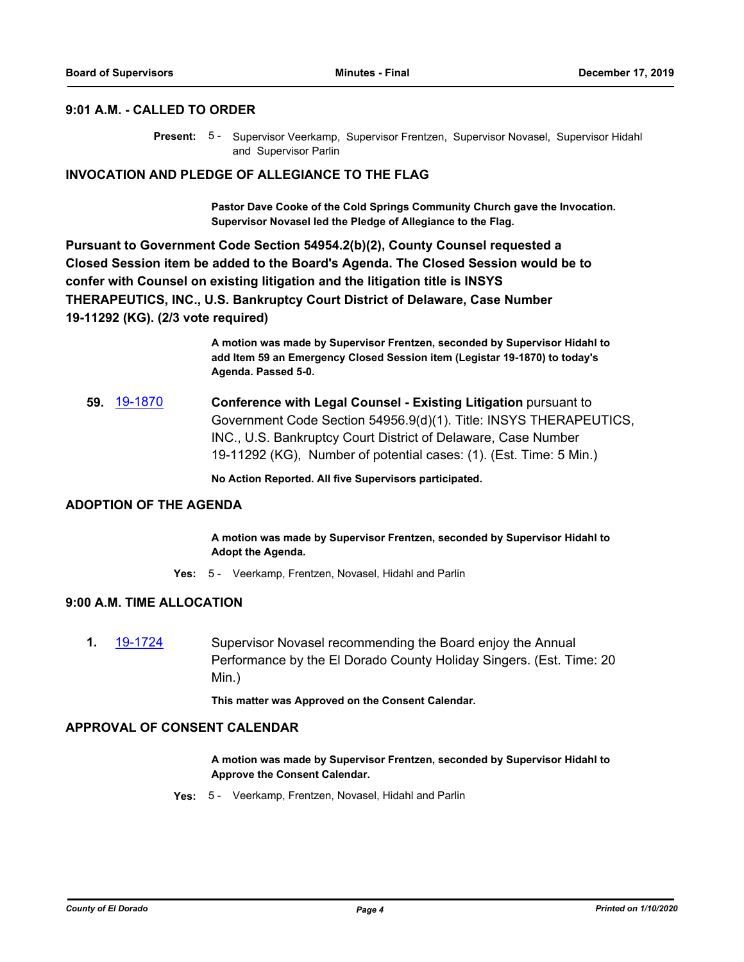## **9:01 A.M. - CALLED TO ORDER**

Present: 5 - Supervisor Veerkamp, Supervisor Frentzen, Supervisor Novasel, Supervisor Hidahl and Supervisor Parlin

#### **INVOCATION AND PLEDGE OF ALLEGIANCE TO THE FLAG**

**Pastor Dave Cooke of the Cold Springs Community Church gave the Invocation. Supervisor Novasel led the Pledge of Allegiance to the Flag.**

**Pursuant to Government Code Section 54954.2(b)(2), County Counsel requested a Closed Session item be added to the Board's Agenda. The Closed Session would be to confer with Counsel on existing litigation and the litigation title is INSYS THERAPEUTICS, INC., U.S. Bankruptcy Court District of Delaware, Case Number 19-11292 (KG). (2/3 vote required)**

> **A motion was made by Supervisor Frentzen, seconded by Supervisor Hidahl to add Item 59 an Emergency Closed Session item (Legistar 19-1870) to today's Agenda. Passed 5-0.**

**59.** [19-1870](http://eldorado.legistar.com/gateway.aspx?m=l&id=/matter.aspx?key=27194) **Conference with Legal Counsel - Existing Litigation** pursuant to Government Code Section 54956.9(d)(1). Title: INSYS THERAPEUTICS, INC., U.S. Bankruptcy Court District of Delaware, Case Number 19-11292 (KG), Number of potential cases: (1). (Est. Time: 5 Min.)

**No Action Reported. All five Supervisors participated.**

#### **ADOPTION OF THE AGENDA**

**A motion was made by Supervisor Frentzen, seconded by Supervisor Hidahl to Adopt the Agenda.**

**Yes:** 5 - Veerkamp, Frentzen, Novasel, Hidahl and Parlin

## **9:00 A.M. TIME ALLOCATION**

**1.** [19-1724](http://eldorado.legistar.com/gateway.aspx?m=l&id=/matter.aspx?key=27048) Supervisor Novasel recommending the Board enjoy the Annual Performance by the El Dorado County Holiday Singers. (Est. Time: 20 Min.)

**This matter was Approved on the Consent Calendar.**

#### **APPROVAL OF CONSENT CALENDAR**

**A motion was made by Supervisor Frentzen, seconded by Supervisor Hidahl to Approve the Consent Calendar.**

**Yes:** 5 - Veerkamp, Frentzen, Novasel, Hidahl and Parlin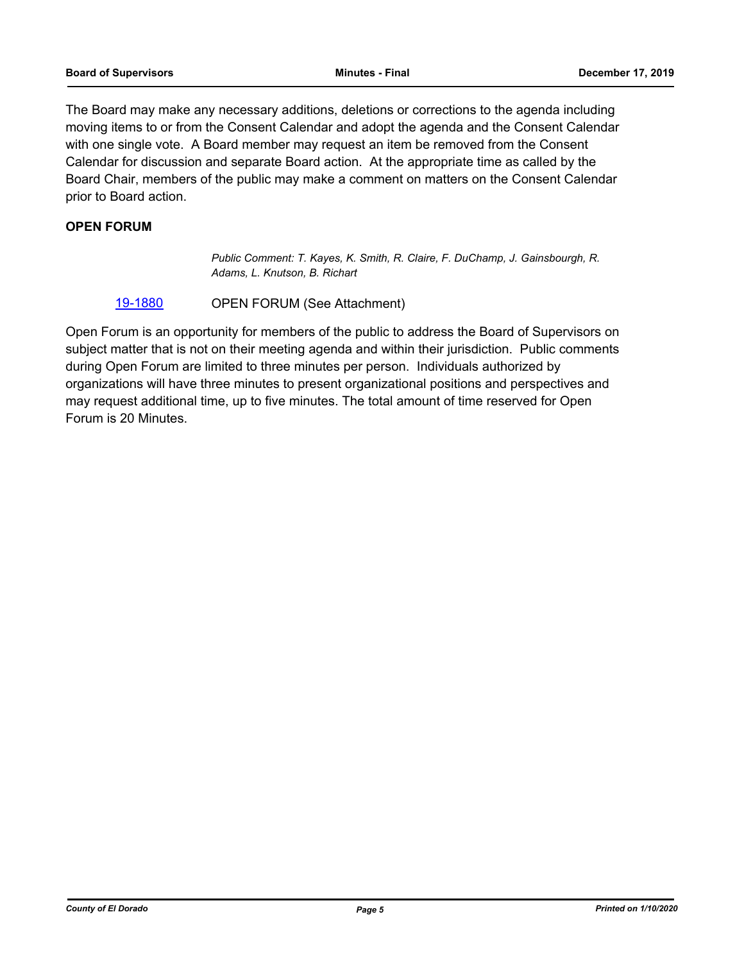The Board may make any necessary additions, deletions or corrections to the agenda including moving items to or from the Consent Calendar and adopt the agenda and the Consent Calendar with one single vote. A Board member may request an item be removed from the Consent Calendar for discussion and separate Board action. At the appropriate time as called by the Board Chair, members of the public may make a comment on matters on the Consent Calendar prior to Board action.

## **OPEN FORUM**

*Public Comment: T. Kayes, K. Smith, R. Claire, F. DuChamp, J. Gainsbourgh, R. Adams, L. Knutson, B. Richart*

#### [19-1880](http://eldorado.legistar.com/gateway.aspx?m=l&id=/matter.aspx?key=27204) OPEN FORUM (See Attachment)

Open Forum is an opportunity for members of the public to address the Board of Supervisors on subject matter that is not on their meeting agenda and within their jurisdiction. Public comments during Open Forum are limited to three minutes per person. Individuals authorized by organizations will have three minutes to present organizational positions and perspectives and may request additional time, up to five minutes. The total amount of time reserved for Open Forum is 20 Minutes.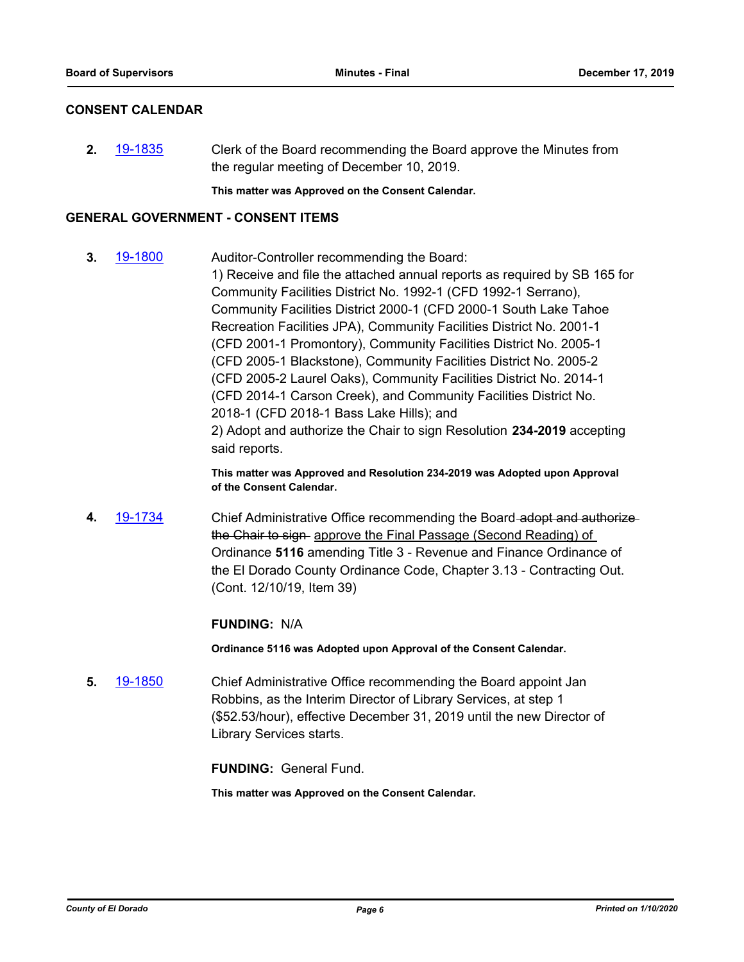#### **CONSENT CALENDAR**

**2.** [19-1835](http://eldorado.legistar.com/gateway.aspx?m=l&id=/matter.aspx?key=27159) Clerk of the Board recommending the Board approve the Minutes from the regular meeting of December 10, 2019.

**This matter was Approved on the Consent Calendar.**

#### **GENERAL GOVERNMENT - CONSENT ITEMS**

**3.** [19-1800](http://eldorado.legistar.com/gateway.aspx?m=l&id=/matter.aspx?key=27124) Auditor-Controller recommending the Board: 1) Receive and file the attached annual reports as required by SB 165 for Community Facilities District No. 1992-1 (CFD 1992-1 Serrano), Community Facilities District 2000-1 (CFD 2000-1 South Lake Tahoe Recreation Facilities JPA), Community Facilities District No. 2001-1 (CFD 2001-1 Promontory), Community Facilities District No. 2005-1 (CFD 2005-1 Blackstone), Community Facilities District No. 2005-2 (CFD 2005-2 Laurel Oaks), Community Facilities District No. 2014-1 (CFD 2014-1 Carson Creek), and Community Facilities District No. 2018-1 (CFD 2018-1 Bass Lake Hills); and 2) Adopt and authorize the Chair to sign Resolution **234-2019** accepting said reports.

> **This matter was Approved and Resolution 234-2019 was Adopted upon Approval of the Consent Calendar.**

**4.** [19-1734](http://eldorado.legistar.com/gateway.aspx?m=l&id=/matter.aspx?key=27058) Chief Administrative Office recommending the Board adopt and authorize the Chair to sign approve the Final Passage (Second Reading) of Ordinance **5116** amending Title 3 - Revenue and Finance Ordinance of the El Dorado County Ordinance Code, Chapter 3.13 - Contracting Out. (Cont. 12/10/19, Item 39)

#### **FUNDING:** N/A

**Ordinance 5116 was Adopted upon Approval of the Consent Calendar.**

**5.** [19-1850](http://eldorado.legistar.com/gateway.aspx?m=l&id=/matter.aspx?key=27174) Chief Administrative Office recommending the Board appoint Jan Robbins, as the Interim Director of Library Services, at step 1 (\$52.53/hour), effective December 31, 2019 until the new Director of Library Services starts.

**FUNDING:** General Fund.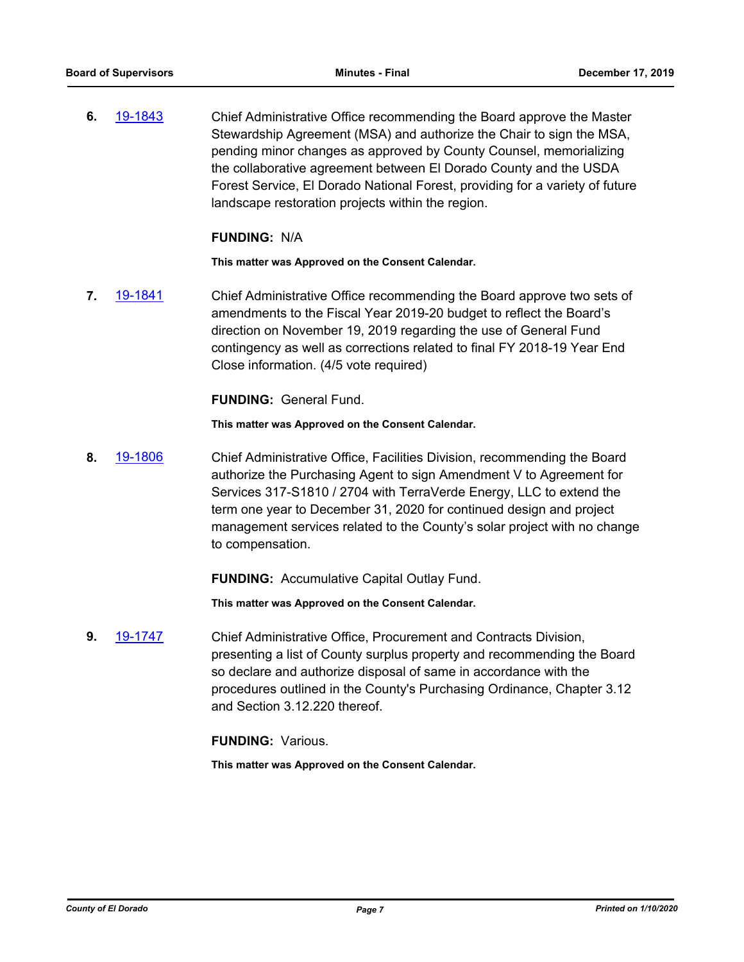**6.** [19-1843](http://eldorado.legistar.com/gateway.aspx?m=l&id=/matter.aspx?key=27167) Chief Administrative Office recommending the Board approve the Master Stewardship Agreement (MSA) and authorize the Chair to sign the MSA, pending minor changes as approved by County Counsel, memorializing the collaborative agreement between El Dorado County and the USDA Forest Service, El Dorado National Forest, providing for a variety of future landscape restoration projects within the region.

#### **FUNDING:** N/A

**This matter was Approved on the Consent Calendar.**

**7.** [19-1841](http://eldorado.legistar.com/gateway.aspx?m=l&id=/matter.aspx?key=27165) Chief Administrative Office recommending the Board approve two sets of amendments to the Fiscal Year 2019-20 budget to reflect the Board's direction on November 19, 2019 regarding the use of General Fund contingency as well as corrections related to final FY 2018-19 Year End Close information. (4/5 vote required)

#### **FUNDING:** General Fund.

#### **This matter was Approved on the Consent Calendar.**

**8.** [19-1806](http://eldorado.legistar.com/gateway.aspx?m=l&id=/matter.aspx?key=27130) Chief Administrative Office, Facilities Division, recommending the Board authorize the Purchasing Agent to sign Amendment V to Agreement for Services 317-S1810 / 2704 with TerraVerde Energy, LLC to extend the term one year to December 31, 2020 for continued design and project management services related to the County's solar project with no change to compensation.

#### **FUNDING:** Accumulative Capital Outlay Fund.

**This matter was Approved on the Consent Calendar.**

**9.** [19-1747](http://eldorado.legistar.com/gateway.aspx?m=l&id=/matter.aspx?key=27071) Chief Administrative Office, Procurement and Contracts Division, presenting a list of County surplus property and recommending the Board so declare and authorize disposal of same in accordance with the procedures outlined in the County's Purchasing Ordinance, Chapter 3.12 and Section 3.12.220 thereof.

#### **FUNDING:** Various.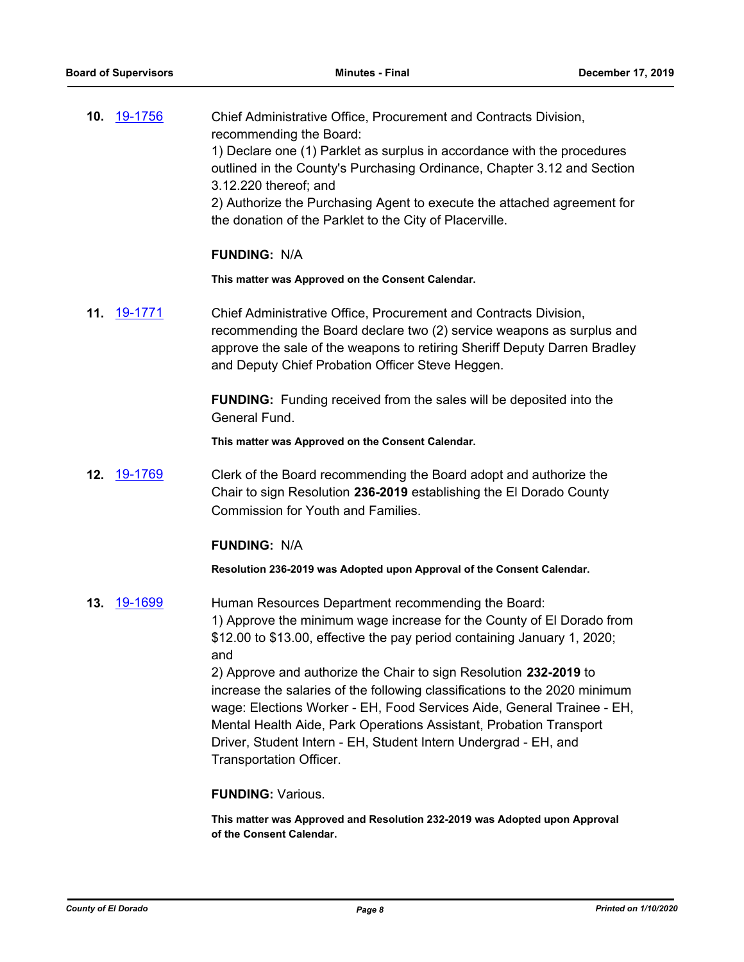| <b>10.</b> 19-1756 | Chief Administrative Office, Procurement and Contracts Division,                                                                   |
|--------------------|------------------------------------------------------------------------------------------------------------------------------------|
|                    | recommending the Board:                                                                                                            |
|                    | 1) Declare one (1) Parklet as surplus in accordance with the procedures                                                            |
|                    | outlined in the County's Purchasing Ordinance, Chapter 3.12 and Section                                                            |
|                    | 3.12.220 thereof; and                                                                                                              |
|                    | 2) Authorize the Purchasing Agent to execute the attached agreement for<br>the donation of the Parklet to the City of Placerville. |
|                    |                                                                                                                                    |

#### **FUNDING:** N/A

**This matter was Approved on the Consent Calendar.**

**11.** [19-1771](http://eldorado.legistar.com/gateway.aspx?m=l&id=/matter.aspx?key=27095) Chief Administrative Office, Procurement and Contracts Division, recommending the Board declare two (2) service weapons as surplus and approve the sale of the weapons to retiring Sheriff Deputy Darren Bradley and Deputy Chief Probation Officer Steve Heggen.

> **FUNDING:** Funding received from the sales will be deposited into the General Fund.

**This matter was Approved on the Consent Calendar.**

**12.** [19-1769](http://eldorado.legistar.com/gateway.aspx?m=l&id=/matter.aspx?key=27093) Clerk of the Board recommending the Board adopt and authorize the Chair to sign Resolution **236-2019** establishing the El Dorado County Commission for Youth and Families.

#### **FUNDING:** N/A

**Resolution 236-2019 was Adopted upon Approval of the Consent Calendar.**

**13.** [19-1699](http://eldorado.legistar.com/gateway.aspx?m=l&id=/matter.aspx?key=27023) Human Resources Department recommending the Board: 1) Approve the minimum wage increase for the County of El Dorado from \$12.00 to \$13.00, effective the pay period containing January 1, 2020; and 2) Approve and authorize the Chair to sign Resolution **232-2019** to

increase the salaries of the following classifications to the 2020 minimum wage: Elections Worker - EH, Food Services Aide, General Trainee - EH, Mental Health Aide, Park Operations Assistant, Probation Transport Driver, Student Intern - EH, Student Intern Undergrad - EH, and Transportation Officer.

#### **FUNDING:** Various.

**This matter was Approved and Resolution 232-2019 was Adopted upon Approval of the Consent Calendar.**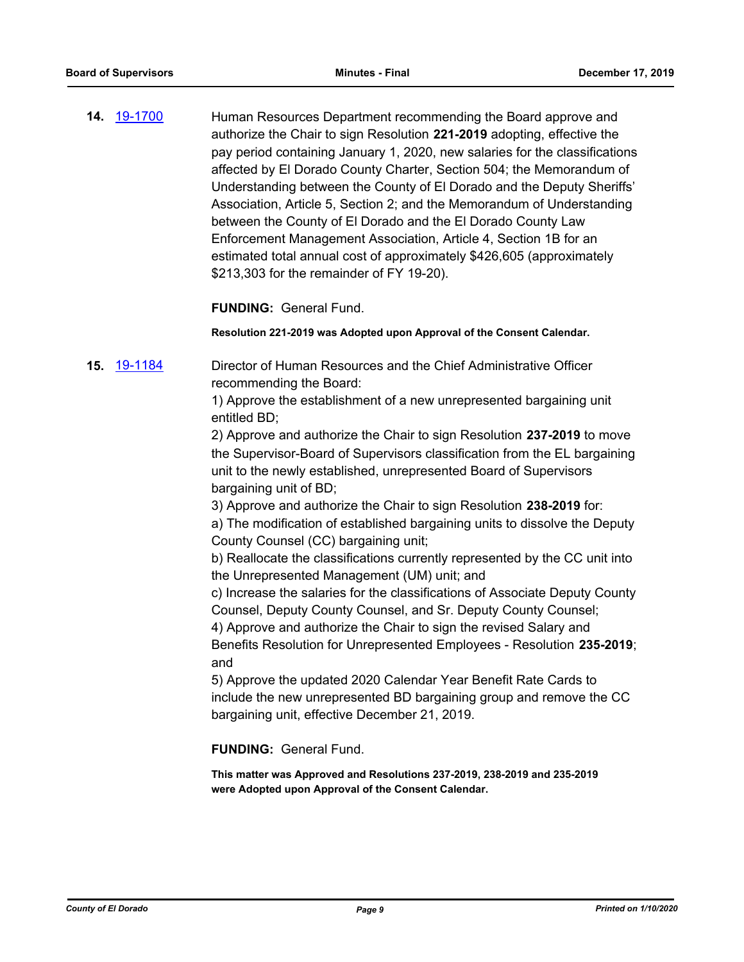**14.** [19-1700](http://eldorado.legistar.com/gateway.aspx?m=l&id=/matter.aspx?key=27024) Human Resources Department recommending the Board approve and authorize the Chair to sign Resolution **221-2019** adopting, effective the pay period containing January 1, 2020, new salaries for the classifications affected by El Dorado County Charter, Section 504; the Memorandum of Understanding between the County of El Dorado and the Deputy Sheriffs' Association, Article 5, Section 2; and the Memorandum of Understanding between the County of El Dorado and the El Dorado County Law Enforcement Management Association, Article 4, Section 1B for an estimated total annual cost of approximately \$426,605 (approximately \$213,303 for the remainder of FY 19-20).

**FUNDING:** General Fund.

**Resolution 221-2019 was Adopted upon Approval of the Consent Calendar.**

**15.** [19-1184](http://eldorado.legistar.com/gateway.aspx?m=l&id=/matter.aspx?key=26507) Director of Human Resources and the Chief Administrative Officer recommending the Board:

> 1) Approve the establishment of a new unrepresented bargaining unit entitled BD;

2) Approve and authorize the Chair to sign Resolution **237-2019** to move the Supervisor-Board of Supervisors classification from the EL bargaining unit to the newly established, unrepresented Board of Supervisors bargaining unit of BD;

3) Approve and authorize the Chair to sign Resolution **238-2019** for:

a) The modification of established bargaining units to dissolve the Deputy County Counsel (CC) bargaining unit;

b) Reallocate the classifications currently represented by the CC unit into the Unrepresented Management (UM) unit; and

c) Increase the salaries for the classifications of Associate Deputy County Counsel, Deputy County Counsel, and Sr. Deputy County Counsel;

4) Approve and authorize the Chair to sign the revised Salary and Benefits Resolution for Unrepresented Employees - Resolution **235-2019**; and

5) Approve the updated 2020 Calendar Year Benefit Rate Cards to include the new unrepresented BD bargaining group and remove the CC bargaining unit, effective December 21, 2019.

**FUNDING:** General Fund.

**This matter was Approved and Resolutions 237-2019, 238-2019 and 235-2019 were Adopted upon Approval of the Consent Calendar.**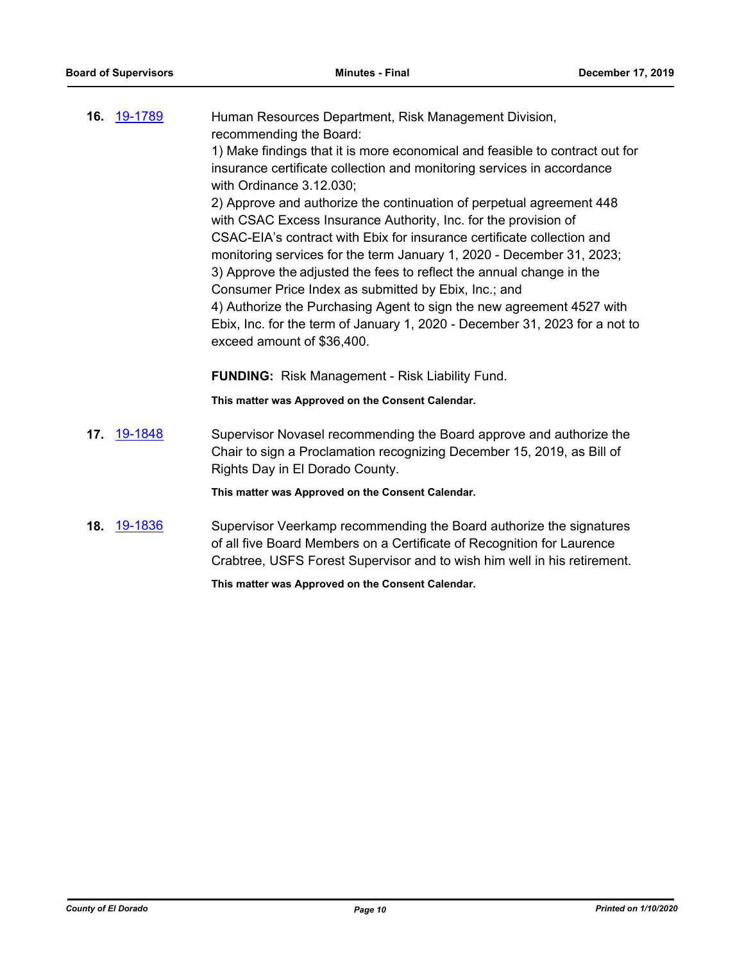|     | 16. 19-1789 | Human Resources Department, Risk Management Division,<br>recommending the Board:                                                                                                                                          |
|-----|-------------|---------------------------------------------------------------------------------------------------------------------------------------------------------------------------------------------------------------------------|
|     |             | 1) Make findings that it is more economical and feasible to contract out for                                                                                                                                              |
|     |             | insurance certificate collection and monitoring services in accordance<br>with Ordinance 3.12.030;                                                                                                                        |
|     |             | 2) Approve and authorize the continuation of perpetual agreement 448<br>with CSAC Excess Insurance Authority, Inc. for the provision of                                                                                   |
|     |             | CSAC-EIA's contract with Ebix for insurance certificate collection and                                                                                                                                                    |
|     |             | monitoring services for the term January 1, 2020 - December 31, 2023;                                                                                                                                                     |
|     |             | 3) Approve the adjusted the fees to reflect the annual change in the<br>Consumer Price Index as submitted by Ebix, Inc.; and                                                                                              |
|     |             | 4) Authorize the Purchasing Agent to sign the new agreement 4527 with                                                                                                                                                     |
|     |             | Ebix, Inc. for the term of January 1, 2020 - December 31, 2023 for a not to                                                                                                                                               |
|     |             | exceed amount of \$36,400.                                                                                                                                                                                                |
|     |             | FUNDING: Risk Management - Risk Liability Fund.                                                                                                                                                                           |
|     |             | This matter was Approved on the Consent Calendar.                                                                                                                                                                         |
| 17. | 19-1848     | Supervisor Novasel recommending the Board approve and authorize the<br>Chair to sign a Proclamation recognizing December 15, 2019, as Bill of<br>Rights Day in El Dorado County.                                          |
|     |             | This matter was Approved on the Consent Calendar.                                                                                                                                                                         |
|     | 18. 19-1836 | Supervisor Veerkamp recommending the Board authorize the signatures<br>of all five Board Members on a Certificate of Recognition for Laurence<br>Crabtree, USFS Forest Supervisor and to wish him well in his retirement. |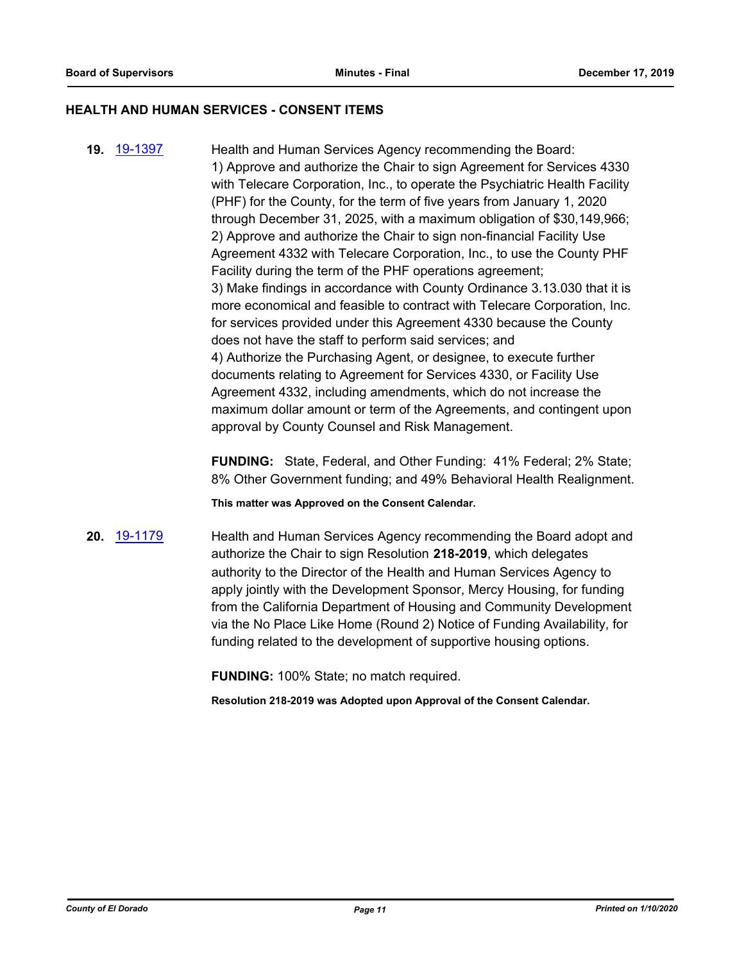#### **HEALTH AND HUMAN SERVICES - CONSENT ITEMS**

**19.** [19-1397](http://eldorado.legistar.com/gateway.aspx?m=l&id=/matter.aspx?key=26718) Health and Human Services Agency recommending the Board: 1) Approve and authorize the Chair to sign Agreement for Services 4330 with Telecare Corporation, Inc., to operate the Psychiatric Health Facility (PHF) for the County, for the term of five years from January 1, 2020 through December 31, 2025, with a maximum obligation of \$30,149,966; 2) Approve and authorize the Chair to sign non-financial Facility Use Agreement 4332 with Telecare Corporation, Inc., to use the County PHF Facility during the term of the PHF operations agreement; 3) Make findings in accordance with County Ordinance 3.13.030 that it is more economical and feasible to contract with Telecare Corporation, Inc. for services provided under this Agreement 4330 because the County does not have the staff to perform said services; and 4) Authorize the Purchasing Agent, or designee, to execute further documents relating to Agreement for Services 4330, or Facility Use Agreement 4332, including amendments, which do not increase the maximum dollar amount or term of the Agreements, and contingent upon approval by County Counsel and Risk Management.

> **FUNDING:** State, Federal, and Other Funding: 41% Federal; 2% State; 8% Other Government funding; and 49% Behavioral Health Realignment.

**This matter was Approved on the Consent Calendar.**

**20.** [19-1179](http://eldorado.legistar.com/gateway.aspx?m=l&id=/matter.aspx?key=26502) Health and Human Services Agency recommending the Board adopt and authorize the Chair to sign Resolution **218-2019**, which delegates authority to the Director of the Health and Human Services Agency to apply jointly with the Development Sponsor, Mercy Housing, for funding from the California Department of Housing and Community Development via the No Place Like Home (Round 2) Notice of Funding Availability, for funding related to the development of supportive housing options.

**FUNDING:** 100% State; no match required.

**Resolution 218-2019 was Adopted upon Approval of the Consent Calendar.**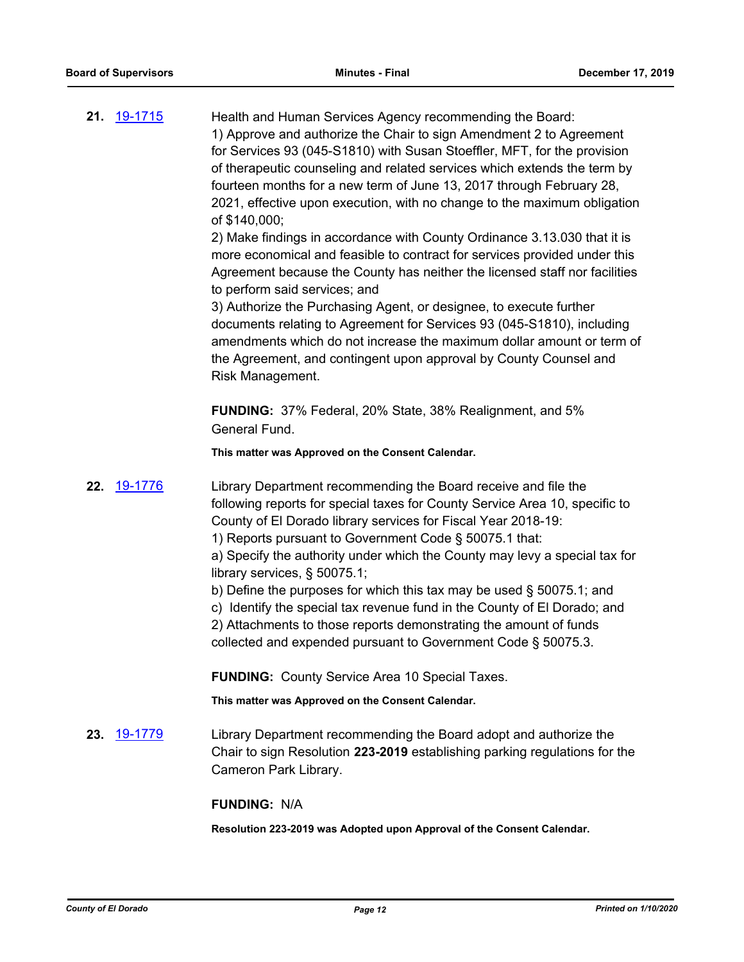| <b>21.</b> 19-1715 | Health and Human Services Agency recommending the Board:<br>1) Approve and authorize the Chair to sign Amendment 2 to Agreement<br>for Services 93 (045-S1810) with Susan Stoeffler, MFT, for the provision<br>of therapeutic counseling and related services which extends the term by<br>fourteen months for a new term of June 13, 2017 through February 28,<br>2021, effective upon execution, with no change to the maximum obligation<br>of \$140,000;<br>2) Make findings in accordance with County Ordinance 3.13.030 that it is<br>more economical and feasible to contract for services provided under this<br>Agreement because the County has neither the licensed staff nor facilities<br>to perform said services; and<br>3) Authorize the Purchasing Agent, or designee, to execute further<br>documents relating to Agreement for Services 93 (045-S1810), including<br>amendments which do not increase the maximum dollar amount or term of<br>the Agreement, and contingent upon approval by County Counsel and<br>Risk Management. |
|--------------------|--------------------------------------------------------------------------------------------------------------------------------------------------------------------------------------------------------------------------------------------------------------------------------------------------------------------------------------------------------------------------------------------------------------------------------------------------------------------------------------------------------------------------------------------------------------------------------------------------------------------------------------------------------------------------------------------------------------------------------------------------------------------------------------------------------------------------------------------------------------------------------------------------------------------------------------------------------------------------------------------------------------------------------------------------------|
|                    | <b>FUNDING:</b> 37% Federal, 20% State, 38% Realignment, and 5%<br>General Fund.                                                                                                                                                                                                                                                                                                                                                                                                                                                                                                                                                                                                                                                                                                                                                                                                                                                                                                                                                                       |
|                    | This matter was Approved on the Consent Calendar.                                                                                                                                                                                                                                                                                                                                                                                                                                                                                                                                                                                                                                                                                                                                                                                                                                                                                                                                                                                                      |
| 22. 19-1776        | Library Department recommending the Board receive and file the<br>following reports for special taxes for County Service Area 10, specific to<br>County of El Dorado library services for Fiscal Year 2018-19:<br>1) Reports pursuant to Government Code § 50075.1 that:<br>a) Specify the authority under which the County may levy a special tax for<br>library services, § 50075.1;<br>b) Define the purposes for which this tax may be used $\S$ 50075.1; and<br>c) Identify the special tax revenue fund in the County of El Dorado; and<br>2) Attachments to those reports demonstrating the amount of funds<br>collected and expended pursuant to Government Code § 50075.3.<br><b>FUNDING: County Service Area 10 Special Taxes.</b>                                                                                                                                                                                                                                                                                                           |
|                    | This matter was Approved on the Consent Calendar.                                                                                                                                                                                                                                                                                                                                                                                                                                                                                                                                                                                                                                                                                                                                                                                                                                                                                                                                                                                                      |
|                    |                                                                                                                                                                                                                                                                                                                                                                                                                                                                                                                                                                                                                                                                                                                                                                                                                                                                                                                                                                                                                                                        |

**23.** [19-1779](http://eldorado.legistar.com/gateway.aspx?m=l&id=/matter.aspx?key=27103) Library Department recommending the Board adopt and authorize the Chair to sign Resolution **223-2019** establishing parking regulations for the Cameron Park Library.

## **FUNDING:** N/A

**Resolution 223-2019 was Adopted upon Approval of the Consent Calendar.**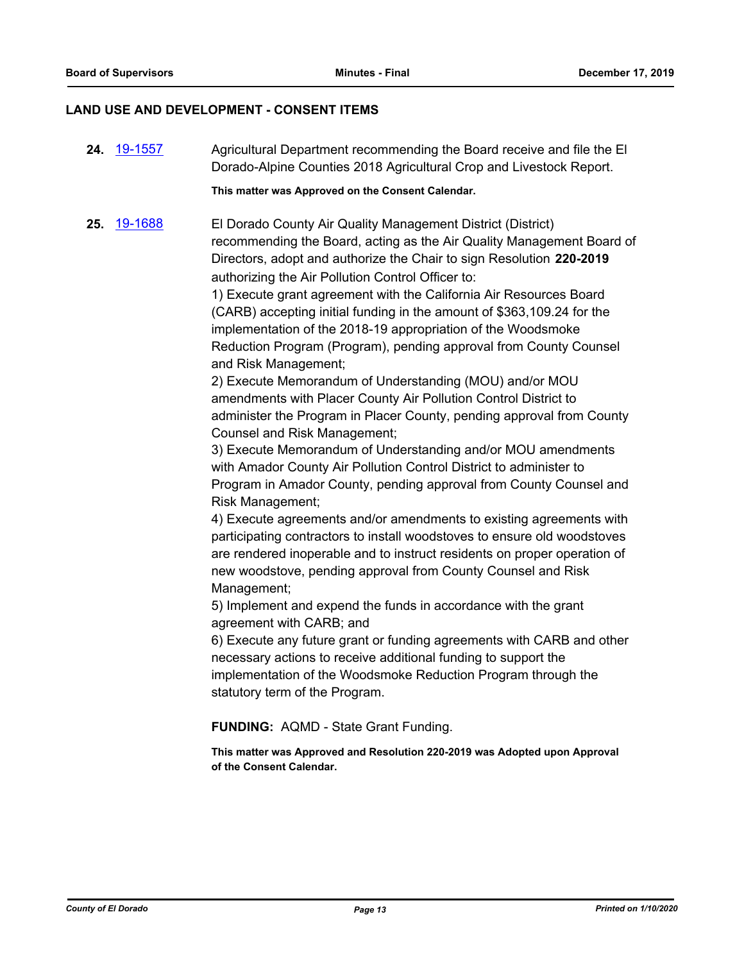#### **LAND USE AND DEVELOPMENT - CONSENT ITEMS**

**24.** [19-1557](http://eldorado.legistar.com/gateway.aspx?m=l&id=/matter.aspx?key=26881) Agricultural Department recommending the Board receive and file the El Dorado-Alpine Counties 2018 Agricultural Crop and Livestock Report.

**This matter was Approved on the Consent Calendar.**

**25.** [19-1688](http://eldorado.legistar.com/gateway.aspx?m=l&id=/matter.aspx?key=27012) El Dorado County Air Quality Management District (District) recommending the Board, acting as the Air Quality Management Board of Directors, adopt and authorize the Chair to sign Resolution **220-2019**  authorizing the Air Pollution Control Officer to:

1) Execute grant agreement with the California Air Resources Board (CARB) accepting initial funding in the amount of \$363,109.24 for the implementation of the 2018-19 appropriation of the Woodsmoke Reduction Program (Program), pending approval from County Counsel and Risk Management;

2) Execute Memorandum of Understanding (MOU) and/or MOU amendments with Placer County Air Pollution Control District to administer the Program in Placer County, pending approval from County Counsel and Risk Management;

3) Execute Memorandum of Understanding and/or MOU amendments with Amador County Air Pollution Control District to administer to Program in Amador County, pending approval from County Counsel and Risk Management;

4) Execute agreements and/or amendments to existing agreements with participating contractors to install woodstoves to ensure old woodstoves are rendered inoperable and to instruct residents on proper operation of new woodstove, pending approval from County Counsel and Risk Management;

5) Implement and expend the funds in accordance with the grant agreement with CARB; and

6) Execute any future grant or funding agreements with CARB and other necessary actions to receive additional funding to support the implementation of the Woodsmoke Reduction Program through the statutory term of the Program.

#### **FUNDING:** AQMD - State Grant Funding.

**This matter was Approved and Resolution 220-2019 was Adopted upon Approval of the Consent Calendar.**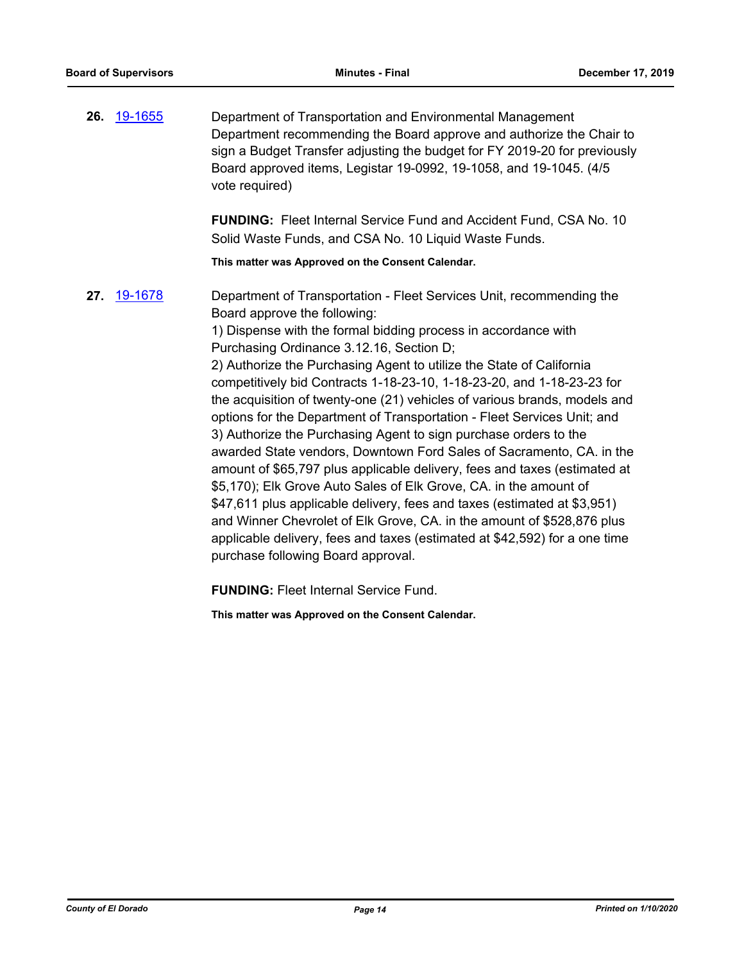**26.** [19-1655](http://eldorado.legistar.com/gateway.aspx?m=l&id=/matter.aspx?key=26979) Department of Transportation and Environmental Management Department recommending the Board approve and authorize the Chair to sign a Budget Transfer adjusting the budget for FY 2019-20 for previously Board approved items, Legistar 19-0992, 19-1058, and 19-1045. (4/5 vote required)

> **FUNDING:** Fleet Internal Service Fund and Accident Fund, CSA No. 10 Solid Waste Funds, and CSA No. 10 Liquid Waste Funds.

**This matter was Approved on the Consent Calendar.**

**27.** [19-1678](http://eldorado.legistar.com/gateway.aspx?m=l&id=/matter.aspx?key=27002) Department of Transportation - Fleet Services Unit, recommending the Board approve the following:

1) Dispense with the formal bidding process in accordance with Purchasing Ordinance 3.12.16, Section D;

2) Authorize the Purchasing Agent to utilize the State of California competitively bid Contracts 1-18-23-10, 1-18-23-20, and 1-18-23-23 for the acquisition of twenty-one (21) vehicles of various brands, models and options for the Department of Transportation - Fleet Services Unit; and 3) Authorize the Purchasing Agent to sign purchase orders to the awarded State vendors, Downtown Ford Sales of Sacramento, CA. in the amount of \$65,797 plus applicable delivery, fees and taxes (estimated at \$5,170); Elk Grove Auto Sales of Elk Grove, CA. in the amount of \$47,611 plus applicable delivery, fees and taxes (estimated at \$3,951) and Winner Chevrolet of Elk Grove, CA. in the amount of \$528,876 plus applicable delivery, fees and taxes (estimated at \$42,592) for a one time purchase following Board approval.

**FUNDING:** Fleet Internal Service Fund.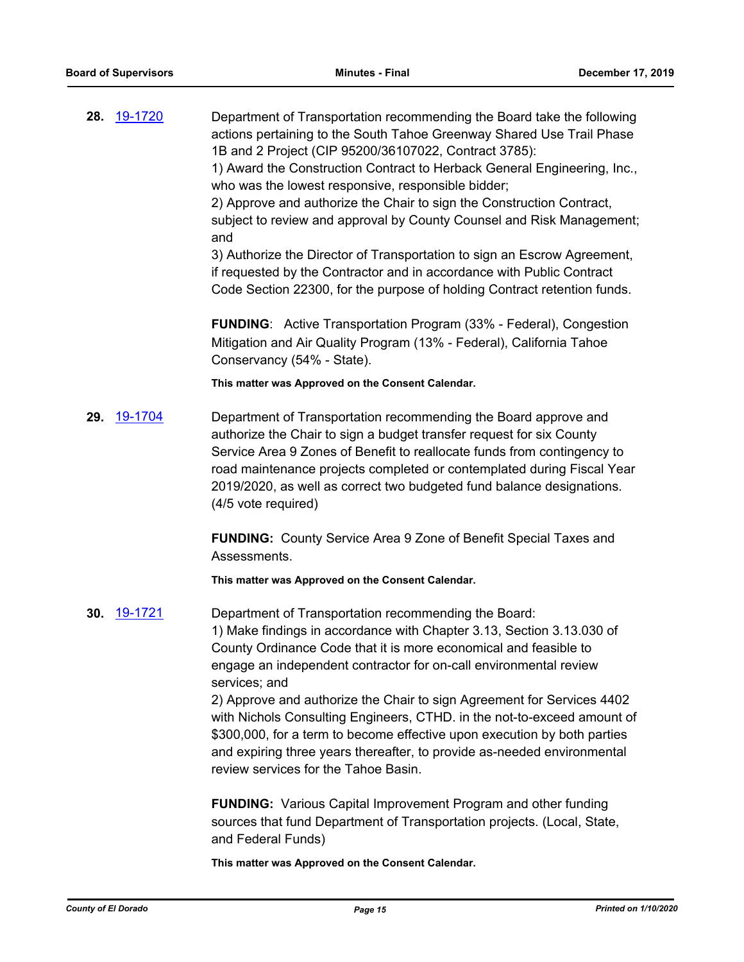**28.** [19-1720](http://eldorado.legistar.com/gateway.aspx?m=l&id=/matter.aspx?key=27044) Department of Transportation recommending the Board take the following actions pertaining to the South Tahoe Greenway Shared Use Trail Phase 1B and 2 Project (CIP 95200/36107022, Contract 3785): 1) Award the Construction Contract to Herback General Engineering, Inc.,

who was the lowest responsive, responsible bidder;

2) Approve and authorize the Chair to sign the Construction Contract, subject to review and approval by County Counsel and Risk Management; and

3) Authorize the Director of Transportation to sign an Escrow Agreement, if requested by the Contractor and in accordance with Public Contract Code Section 22300, for the purpose of holding Contract retention funds.

**FUNDING**: Active Transportation Program (33% - Federal), Congestion Mitigation and Air Quality Program (13% - Federal), California Tahoe Conservancy (54% - State).

**This matter was Approved on the Consent Calendar.**

**29.** [19-1704](http://eldorado.legistar.com/gateway.aspx?m=l&id=/matter.aspx?key=27028) Department of Transportation recommending the Board approve and authorize the Chair to sign a budget transfer request for six County Service Area 9 Zones of Benefit to reallocate funds from contingency to road maintenance projects completed or contemplated during Fiscal Year 2019/2020, as well as correct two budgeted fund balance designations. (4/5 vote required)

> **FUNDING:** County Service Area 9 Zone of Benefit Special Taxes and Assessments.

**This matter was Approved on the Consent Calendar.**

**30.** [19-1721](http://eldorado.legistar.com/gateway.aspx?m=l&id=/matter.aspx?key=27045) Department of Transportation recommending the Board: 1) Make findings in accordance with Chapter 3.13, Section 3.13.030 of County Ordinance Code that it is more economical and feasible to engage an independent contractor for on-call environmental review services; and

2) Approve and authorize the Chair to sign Agreement for Services 4402 with Nichols Consulting Engineers, CTHD. in the not-to-exceed amount of \$300,000, for a term to become effective upon execution by both parties and expiring three years thereafter, to provide as-needed environmental review services for the Tahoe Basin.

**FUNDING:** Various Capital Improvement Program and other funding sources that fund Department of Transportation projects. (Local, State, and Federal Funds)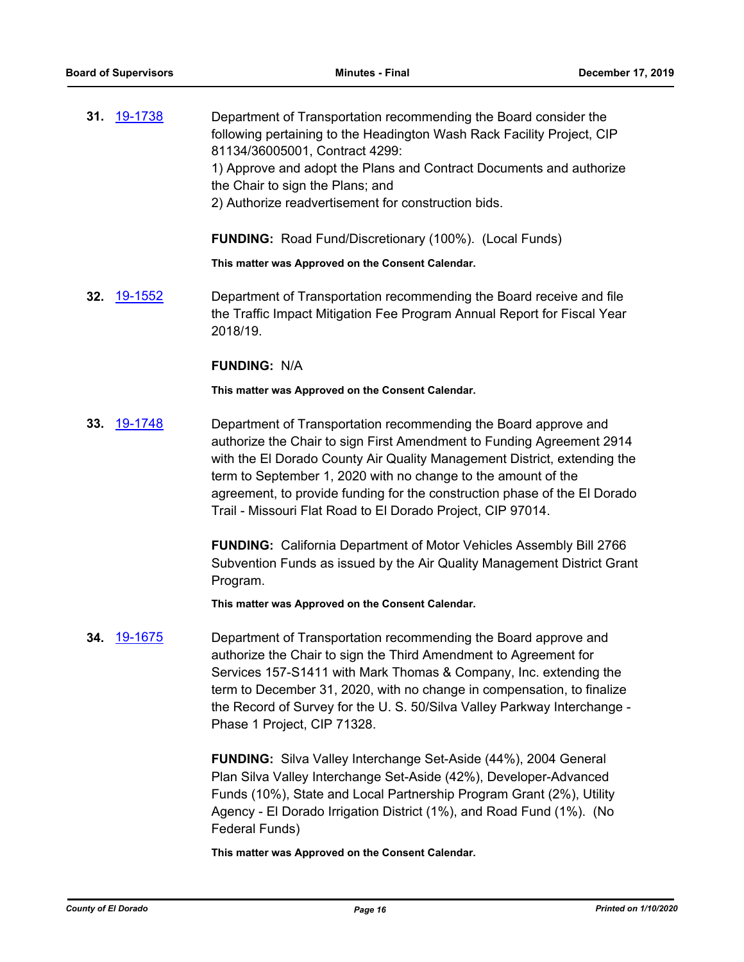**31.** [19-1738](http://eldorado.legistar.com/gateway.aspx?m=l&id=/matter.aspx?key=27062) Department of Transportation recommending the Board consider the following pertaining to the Headington Wash Rack Facility Project, CIP 81134/36005001, Contract 4299: 1) Approve and adopt the Plans and Contract Documents and authorize the Chair to sign the Plans; and 2) Authorize readvertisement for construction bids.

**FUNDING:** Road Fund/Discretionary (100%). (Local Funds)

**This matter was Approved on the Consent Calendar.**

**32.** [19-1552](http://eldorado.legistar.com/gateway.aspx?m=l&id=/matter.aspx?key=26876) Department of Transportation recommending the Board receive and file the Traffic Impact Mitigation Fee Program Annual Report for Fiscal Year 2018/19.

#### **FUNDING:** N/A

**This matter was Approved on the Consent Calendar.**

**33.** [19-1748](http://eldorado.legistar.com/gateway.aspx?m=l&id=/matter.aspx?key=27072) Department of Transportation recommending the Board approve and authorize the Chair to sign First Amendment to Funding Agreement 2914 with the El Dorado County Air Quality Management District, extending the term to September 1, 2020 with no change to the amount of the agreement, to provide funding for the construction phase of the El Dorado Trail - Missouri Flat Road to El Dorado Project, CIP 97014.

> **FUNDING:** California Department of Motor Vehicles Assembly Bill 2766 Subvention Funds as issued by the Air Quality Management District Grant Program.

**This matter was Approved on the Consent Calendar.**

**34.** [19-1675](http://eldorado.legistar.com/gateway.aspx?m=l&id=/matter.aspx?key=26999) Department of Transportation recommending the Board approve and authorize the Chair to sign the Third Amendment to Agreement for Services 157-S1411 with Mark Thomas & Company, Inc. extending the term to December 31, 2020, with no change in compensation, to finalize the Record of Survey for the U. S. 50/Silva Valley Parkway Interchange - Phase 1 Project, CIP 71328.

> **FUNDING:** Silva Valley Interchange Set-Aside (44%), 2004 General Plan Silva Valley Interchange Set-Aside (42%), Developer-Advanced Funds (10%), State and Local Partnership Program Grant (2%), Utility Agency - El Dorado Irrigation District (1%), and Road Fund (1%). (No Federal Funds)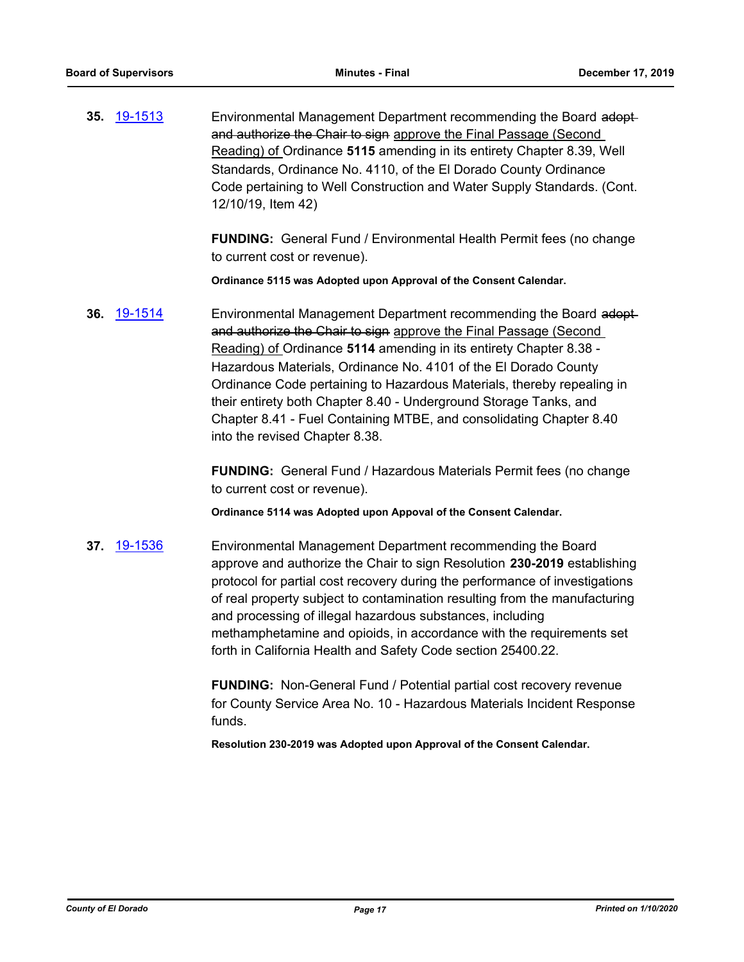**35.** [19-1513](http://eldorado.legistar.com/gateway.aspx?m=l&id=/matter.aspx?key=26835) Environmental Management Department recommending the Board adopt and authorize the Chair to sign approve the Final Passage (Second Reading) of Ordinance **5115** amending in its entirety Chapter 8.39, Well Standards, Ordinance No. 4110, of the El Dorado County Ordinance Code pertaining to Well Construction and Water Supply Standards. (Cont. 12/10/19, Item 42)

> **FUNDING:** General Fund / Environmental Health Permit fees (no change to current cost or revenue).

**Ordinance 5115 was Adopted upon Approval of the Consent Calendar.**

**36.** [19-1514](http://eldorado.legistar.com/gateway.aspx?m=l&id=/matter.aspx?key=26836) Environmental Management Department recommending the Board adopt and authorize the Chair to sign approve the Final Passage (Second Reading) of Ordinance **5114** amending in its entirety Chapter 8.38 - Hazardous Materials, Ordinance No. 4101 of the El Dorado County Ordinance Code pertaining to Hazardous Materials, thereby repealing in their entirety both Chapter 8.40 - Underground Storage Tanks, and Chapter 8.41 - Fuel Containing MTBE, and consolidating Chapter 8.40 into the revised Chapter 8.38.

> **FUNDING:** General Fund / Hazardous Materials Permit fees (no change to current cost or revenue).

**Ordinance 5114 was Adopted upon Appoval of the Consent Calendar.**

**37.** [19-1536](http://eldorado.legistar.com/gateway.aspx?m=l&id=/matter.aspx?key=26858) Environmental Management Department recommending the Board approve and authorize the Chair to sign Resolution **230-2019** establishing protocol for partial cost recovery during the performance of investigations of real property subject to contamination resulting from the manufacturing and processing of illegal hazardous substances, including methamphetamine and opioids, in accordance with the requirements set forth in California Health and Safety Code section 25400.22.

> **FUNDING:** Non-General Fund / Potential partial cost recovery revenue for County Service Area No. 10 - Hazardous Materials Incident Response funds.

**Resolution 230-2019 was Adopted upon Approval of the Consent Calendar.**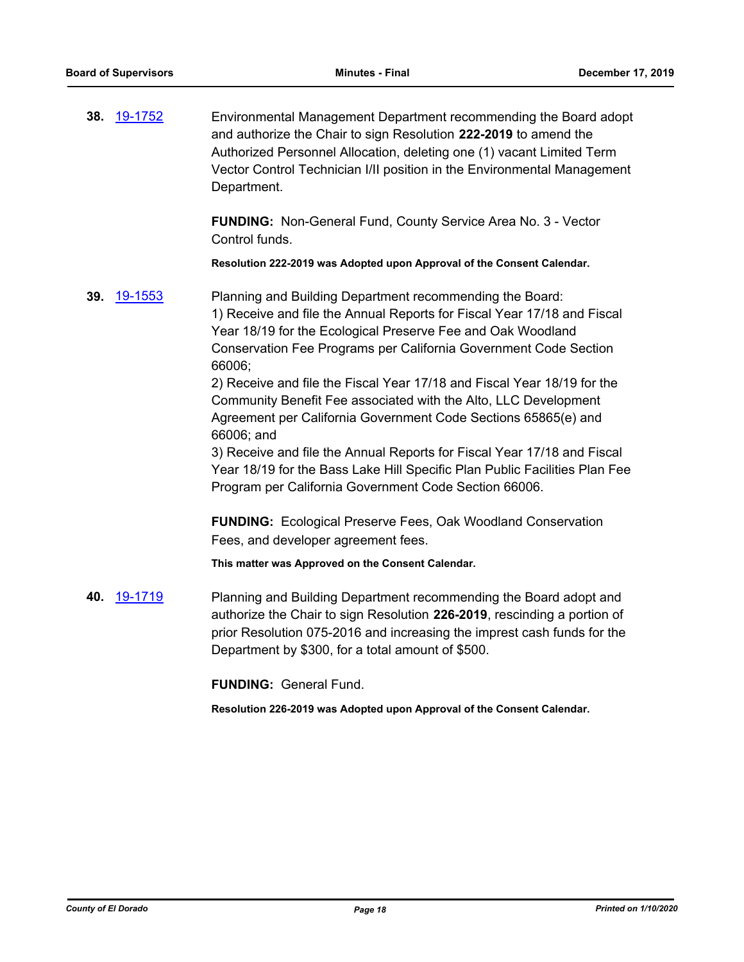**38.** [19-1752](http://eldorado.legistar.com/gateway.aspx?m=l&id=/matter.aspx?key=27076) Environmental Management Department recommending the Board adopt and authorize the Chair to sign Resolution **222-2019** to amend the Authorized Personnel Allocation, deleting one (1) vacant Limited Term Vector Control Technician I/II position in the Environmental Management Department.

> **FUNDING:** Non-General Fund, County Service Area No. 3 - Vector Control funds.

**Resolution 222-2019 was Adopted upon Approval of the Consent Calendar.**

**39.** [19-1553](http://eldorado.legistar.com/gateway.aspx?m=l&id=/matter.aspx?key=26877) Planning and Building Department recommending the Board: 1) Receive and file the Annual Reports for Fiscal Year 17/18 and Fiscal Year 18/19 for the Ecological Preserve Fee and Oak Woodland Conservation Fee Programs per California Government Code Section 66006;

2) Receive and file the Fiscal Year 17/18 and Fiscal Year 18/19 for the Community Benefit Fee associated with the Alto, LLC Development Agreement per California Government Code Sections 65865(e) and 66006; and

3) Receive and file the Annual Reports for Fiscal Year 17/18 and Fiscal Year 18/19 for the Bass Lake Hill Specific Plan Public Facilities Plan Fee Program per California Government Code Section 66006.

**FUNDING:** Ecological Preserve Fees, Oak Woodland Conservation Fees, and developer agreement fees.

**This matter was Approved on the Consent Calendar.**

**40.** [19-1719](http://eldorado.legistar.com/gateway.aspx?m=l&id=/matter.aspx?key=27043) Planning and Building Department recommending the Board adopt and authorize the Chair to sign Resolution **226-2019**, rescinding a portion of prior Resolution 075-2016 and increasing the imprest cash funds for the Department by \$300, for a total amount of \$500.

**FUNDING:** General Fund.

**Resolution 226-2019 was Adopted upon Approval of the Consent Calendar.**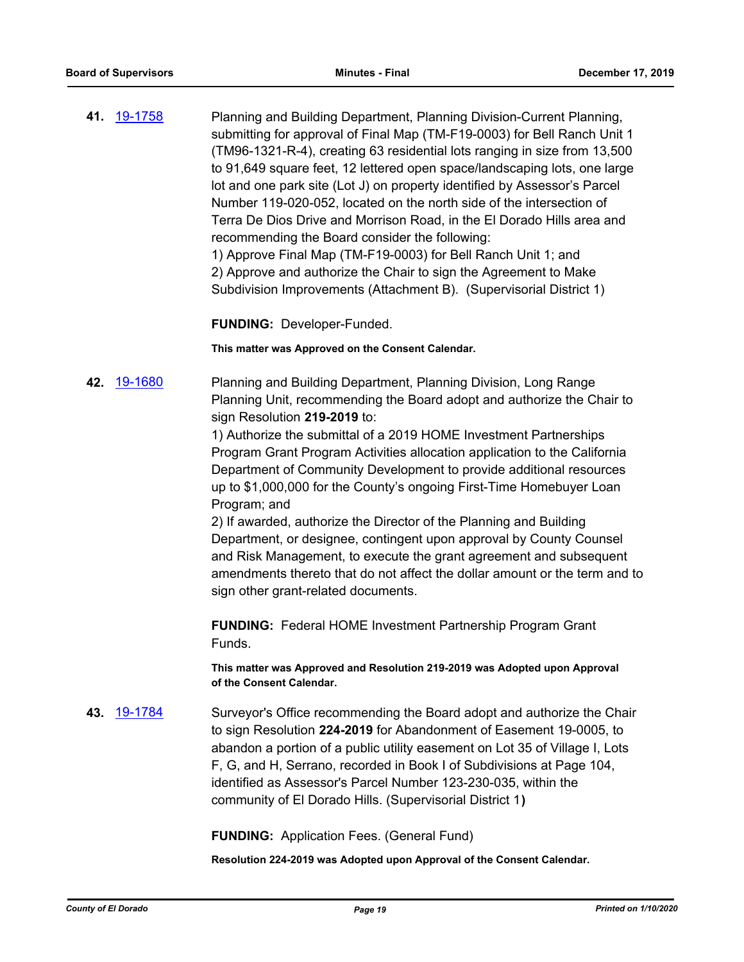**41.** [19-1758](http://eldorado.legistar.com/gateway.aspx?m=l&id=/matter.aspx?key=27082) Planning and Building Department, Planning Division-Current Planning, submitting for approval of Final Map (TM-F19-0003) for Bell Ranch Unit 1 (TM96-1321-R-4), creating 63 residential lots ranging in size from 13,500 to 91,649 square feet, 12 lettered open space/landscaping lots, one large lot and one park site (Lot J) on property identified by Assessor's Parcel Number 119-020-052, located on the north side of the intersection of Terra De Dios Drive and Morrison Road, in the El Dorado Hills area and recommending the Board consider the following: 1) Approve Final Map (TM-F19-0003) for Bell Ranch Unit 1; and

2) Approve and authorize the Chair to sign the Agreement to Make Subdivision Improvements (Attachment B). (Supervisorial District 1)

**FUNDING:** Developer-Funded.

**This matter was Approved on the Consent Calendar.**

**42.** [19-1680](http://eldorado.legistar.com/gateway.aspx?m=l&id=/matter.aspx?key=27004) Planning and Building Department, Planning Division, Long Range Planning Unit, recommending the Board adopt and authorize the Chair to sign Resolution **219-2019** to:

> 1) Authorize the submittal of a 2019 HOME Investment Partnerships Program Grant Program Activities allocation application to the California Department of Community Development to provide additional resources up to \$1,000,000 for the County's ongoing First-Time Homebuyer Loan Program; and

2) If awarded, authorize the Director of the Planning and Building Department, or designee, contingent upon approval by County Counsel and Risk Management, to execute the grant agreement and subsequent amendments thereto that do not affect the dollar amount or the term and to sign other grant-related documents.

**FUNDING:** Federal HOME Investment Partnership Program Grant Funds.

**This matter was Approved and Resolution 219-2019 was Adopted upon Approval of the Consent Calendar.**

**43.** [19-1784](http://eldorado.legistar.com/gateway.aspx?m=l&id=/matter.aspx?key=27108) Surveyor's Office recommending the Board adopt and authorize the Chair to sign Resolution **224-2019** for Abandonment of Easement 19-0005, to abandon a portion of a public utility easement on Lot 35 of Village I, Lots F, G, and H, Serrano, recorded in Book I of Subdivisions at Page 104, identified as Assessor's Parcel Number 123-230-035, within the community of El Dorado Hills. (Supervisorial District 1**)**

**FUNDING:** Application Fees. (General Fund)

**Resolution 224-2019 was Adopted upon Approval of the Consent Calendar.**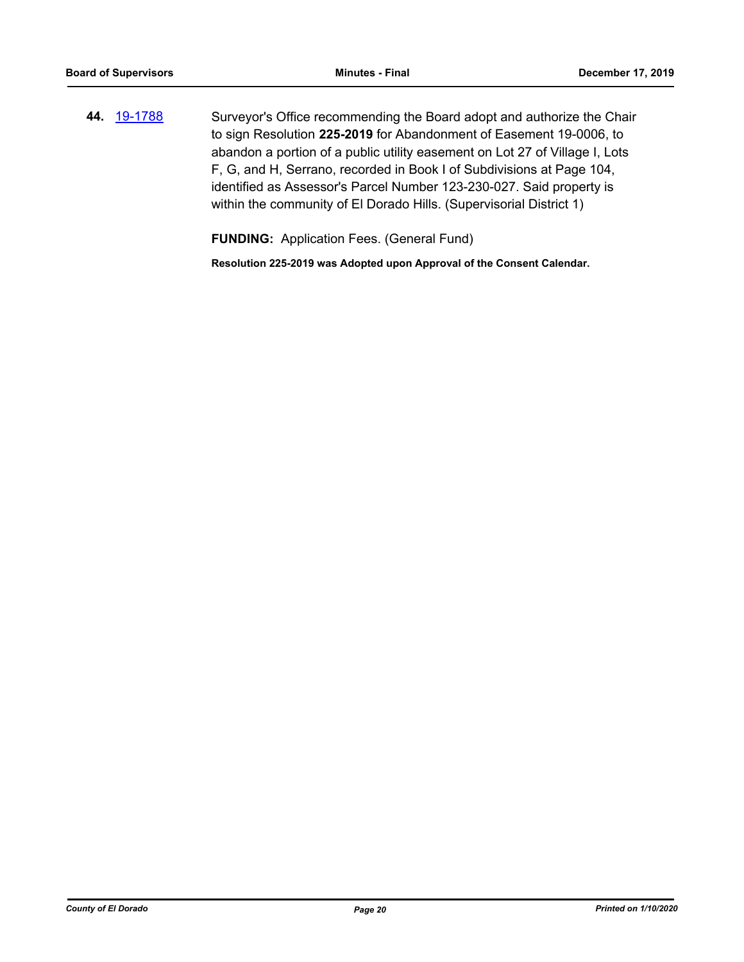**44.** [19-1788](http://eldorado.legistar.com/gateway.aspx?m=l&id=/matter.aspx?key=27112) Surveyor's Office recommending the Board adopt and authorize the Chair to sign Resolution **225-2019** for Abandonment of Easement 19-0006, to abandon a portion of a public utility easement on Lot 27 of Village I, Lots F, G, and H, Serrano, recorded in Book I of Subdivisions at Page 104, identified as Assessor's Parcel Number 123-230-027. Said property is within the community of El Dorado Hills. (Supervisorial District 1)

**FUNDING:** Application Fees. (General Fund)

**Resolution 225-2019 was Adopted upon Approval of the Consent Calendar.**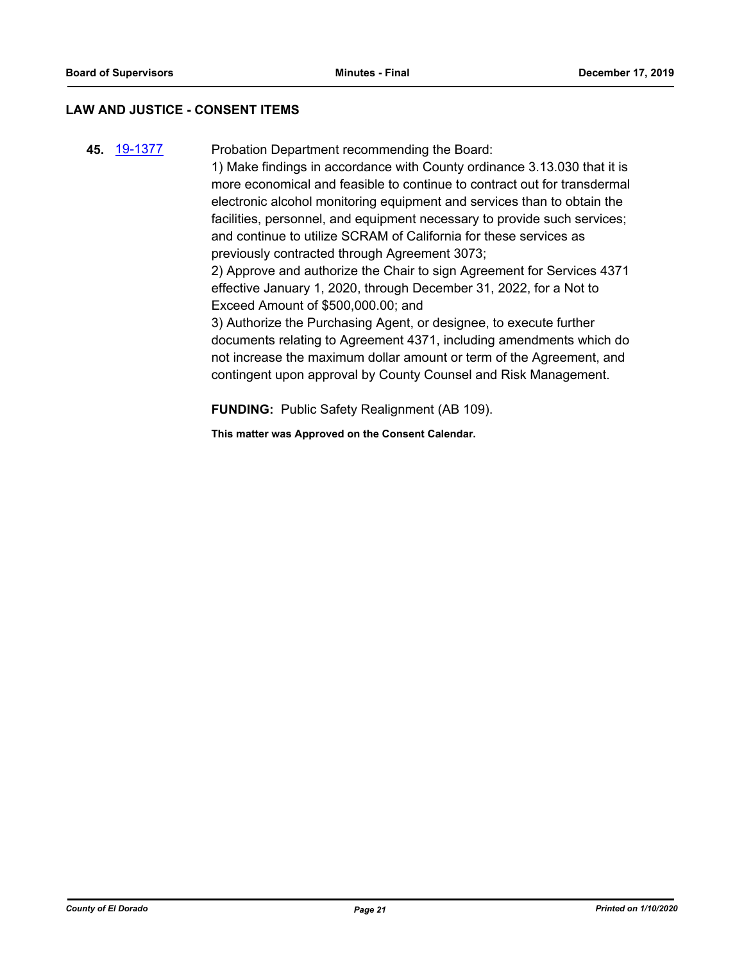#### **LAW AND JUSTICE - CONSENT ITEMS**

**45.** [19-1377](http://eldorado.legistar.com/gateway.aspx?m=l&id=/matter.aspx?key=26698) Probation Department recommending the Board: 1) Make findings in accordance with County ordinance 3.13.030 that it is more economical and feasible to continue to contract out for transdermal electronic alcohol monitoring equipment and services than to obtain the facilities, personnel, and equipment necessary to provide such services; and continue to utilize SCRAM of California for these services as previously contracted through Agreement 3073; 2) Approve and authorize the Chair to sign Agreement for Services 4371 effective January 1, 2020, through December 31, 2022, for a Not to Exceed Amount of \$500,000.00; and 3) Authorize the Purchasing Agent, or designee, to execute further documents relating to Agreement 4371, including amendments which do not increase the maximum dollar amount or term of the Agreement, and contingent upon approval by County Counsel and Risk Management.

**FUNDING:** Public Safety Realignment (AB 109).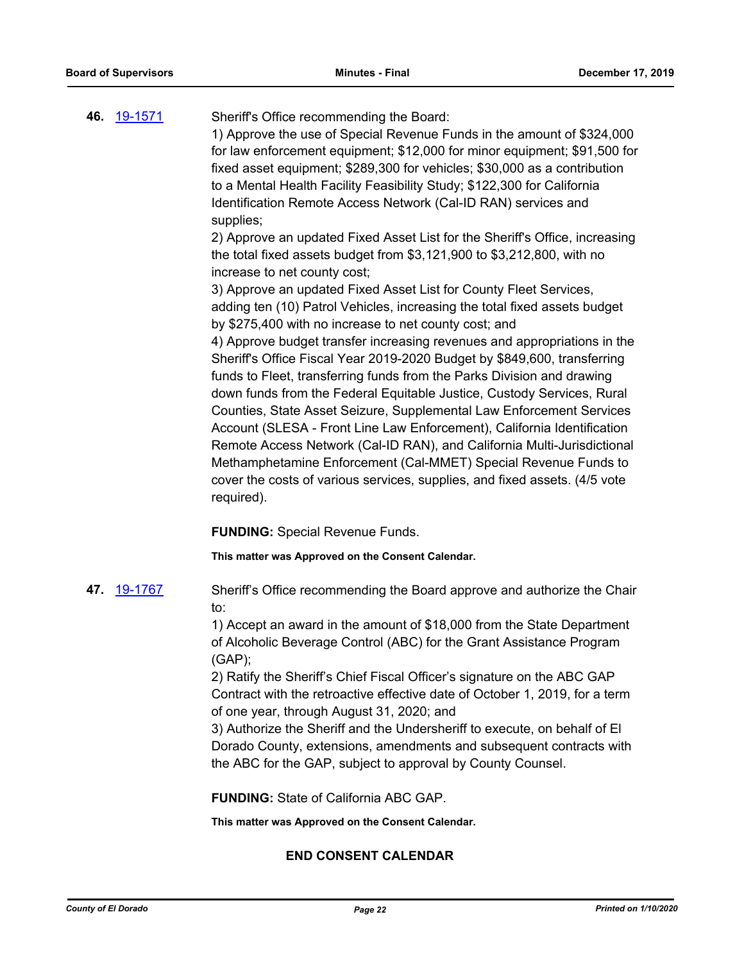| 46. | <u>19-1571</u> | Sheriff's Office recommending the Board:<br>1) Approve the use of Special Revenue Funds in the amount of \$324,000                                                                                      |
|-----|----------------|---------------------------------------------------------------------------------------------------------------------------------------------------------------------------------------------------------|
|     |                | for law enforcement equipment; \$12,000 for minor equipment; \$91,500 for                                                                                                                               |
|     |                | fixed asset equipment; \$289,300 for vehicles; \$30,000 as a contribution                                                                                                                               |
|     |                | to a Mental Health Facility Feasibility Study; \$122,300 for California                                                                                                                                 |
|     |                | Identification Remote Access Network (Cal-ID RAN) services and                                                                                                                                          |
|     |                | supplies;                                                                                                                                                                                               |
|     |                | 2) Approve an updated Fixed Asset List for the Sheriff's Office, increasing<br>the total fixed assets budget from \$3,121,900 to \$3,212,800, with no                                                   |
|     |                | increase to net county cost;                                                                                                                                                                            |
|     |                | 3) Approve an updated Fixed Asset List for County Fleet Services,<br>adding ten (10) Patrol Vehicles, increasing the total fixed assets budget<br>by \$275,400 with no increase to net county cost; and |
|     |                | 4) Approve budget transfer increasing revenues and appropriations in the                                                                                                                                |
|     |                | Sheriff's Office Fiscal Year 2019-2020 Budget by \$849,600, transferring<br>funds to Fleet, transferring funds from the Parks Division and drawing                                                      |
|     |                | down funds from the Federal Equitable Justice, Custody Services, Rural                                                                                                                                  |
|     |                | Counties, State Asset Seizure, Supplemental Law Enforcement Services                                                                                                                                    |
|     |                | Account (SLESA - Front Line Law Enforcement), California Identification<br>Remote Access Network (Cal-ID RAN), and California Multi-Jurisdictional                                                      |
|     |                | Methamphetamine Enforcement (Cal-MMET) Special Revenue Funds to                                                                                                                                         |
|     |                | cover the costs of various services, supplies, and fixed assets. (4/5 vote                                                                                                                              |
|     |                | required).                                                                                                                                                                                              |
|     |                | <b>FUNDING: Special Revenue Funds.</b>                                                                                                                                                                  |
|     |                | This matter was Approved on the Consent Calendar.                                                                                                                                                       |
|     | 47. 19-1767    | Sheriff's Office recommending the Board approve and authorize the Chair<br>to:                                                                                                                          |
|     |                | 1) Accept an award in the amount of \$18,000 from the State Department                                                                                                                                  |
|     |                | of Alcoholic Beverage Control (ABC) for the Grant Assistance Program<br>(GAP);                                                                                                                          |
|     |                | 2) Ratify the Sheriff's Chief Fiscal Officer's signature on the ABC GAP                                                                                                                                 |
|     |                | Contract with the retroactive effective date of October 1, 2019, for a term                                                                                                                             |
|     |                | of one year, through August 31, 2020; and<br>3) Authorize the Sheriff and the Undersheriff to execute, on behalf of El                                                                                  |
|     |                | Dorado County, extensions, amendments and subsequent contracts with                                                                                                                                     |
|     |                | the ABC for the GAP, subject to approval by County Counsel.                                                                                                                                             |
|     |                | <b>FUNDING: State of California ABC GAP.</b>                                                                                                                                                            |
|     |                | This matter was Approved on the Consent Calendar.                                                                                                                                                       |
|     |                | <b>END CONSENT CALENDAR</b>                                                                                                                                                                             |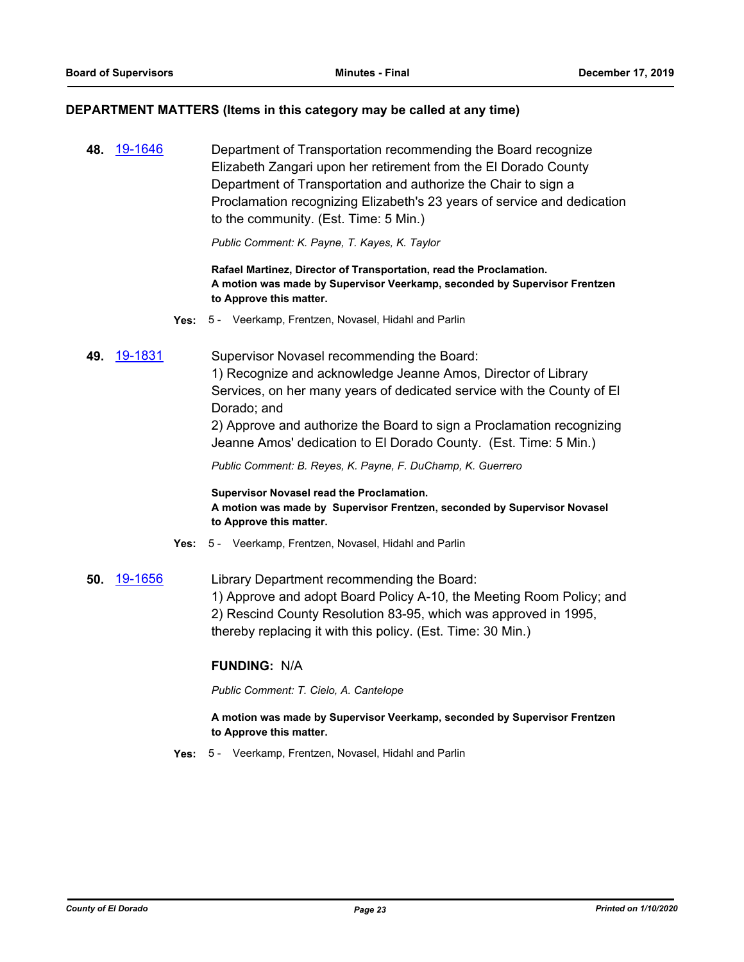#### **DEPARTMENT MATTERS (Items in this category may be called at any time)**

**48.** [19-1646](http://eldorado.legistar.com/gateway.aspx?m=l&id=/matter.aspx?key=26970) Department of Transportation recommending the Board recognize Elizabeth Zangari upon her retirement from the El Dorado County Department of Transportation and authorize the Chair to sign a Proclamation recognizing Elizabeth's 23 years of service and dedication to the community. (Est. Time: 5 Min.)

*Public Comment: K. Payne, T. Kayes, K. Taylor*

**Rafael Martinez, Director of Transportation, read the Proclamation. A motion was made by Supervisor Veerkamp, seconded by Supervisor Frentzen to Approve this matter.**

- **Yes:** 5 Veerkamp, Frentzen, Novasel, Hidahl and Parlin
- **49.** [19-1831](http://eldorado.legistar.com/gateway.aspx?m=l&id=/matter.aspx?key=27155) Supervisor Novasel recommending the Board:

1) Recognize and acknowledge Jeanne Amos, Director of Library Services, on her many years of dedicated service with the County of El Dorado; and

2) Approve and authorize the Board to sign a Proclamation recognizing Jeanne Amos' dedication to El Dorado County. (Est. Time: 5 Min.)

*Public Comment: B. Reyes, K. Payne, F. DuChamp, K. Guerrero*

**Supervisor Novasel read the Proclamation. A motion was made by Supervisor Frentzen, seconded by Supervisor Novasel to Approve this matter.**

- **Yes:** 5 Veerkamp, Frentzen, Novasel, Hidahl and Parlin
- **50.** [19-1656](http://eldorado.legistar.com/gateway.aspx?m=l&id=/matter.aspx?key=26980) Library Department recommending the Board: 1) Approve and adopt Board Policy A-10, the Meeting Room Policy; and 2) Rescind County Resolution 83-95, which was approved in 1995, thereby replacing it with this policy. (Est. Time: 30 Min.)

#### **FUNDING:** N/A

*Public Comment: T. Cielo, A. Cantelope*

**A motion was made by Supervisor Veerkamp, seconded by Supervisor Frentzen to Approve this matter.**

**Yes:** 5 - Veerkamp, Frentzen, Novasel, Hidahl and Parlin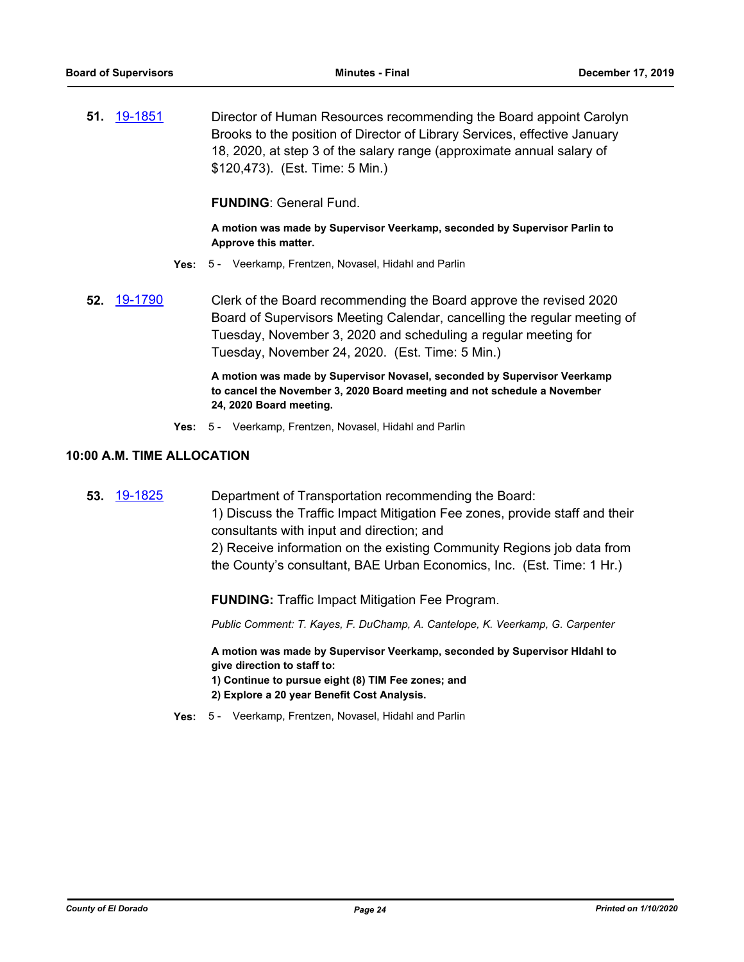**51.** [19-1851](http://eldorado.legistar.com/gateway.aspx?m=l&id=/matter.aspx?key=27175) Director of Human Resources recommending the Board appoint Carolyn Brooks to the position of Director of Library Services, effective January 18, 2020, at step 3 of the salary range (approximate annual salary of \$120,473). (Est. Time: 5 Min.)

**FUNDING**: General Fund.

**A motion was made by Supervisor Veerkamp, seconded by Supervisor Parlin to Approve this matter.**

- **Yes:** 5 Veerkamp, Frentzen, Novasel, Hidahl and Parlin
- **52.** [19-1790](http://eldorado.legistar.com/gateway.aspx?m=l&id=/matter.aspx?key=27114) Clerk of the Board recommending the Board approve the revised 2020 Board of Supervisors Meeting Calendar, cancelling the regular meeting of Tuesday, November 3, 2020 and scheduling a regular meeting for Tuesday, November 24, 2020. (Est. Time: 5 Min.)

**A motion was made by Supervisor Novasel, seconded by Supervisor Veerkamp to cancel the November 3, 2020 Board meeting and not schedule a November 24, 2020 Board meeting.**

**Yes:** 5 - Veerkamp, Frentzen, Novasel, Hidahl and Parlin

#### **10:00 A.M. TIME ALLOCATION**

**53.** [19-1825](http://eldorado.legistar.com/gateway.aspx?m=l&id=/matter.aspx?key=27149) Department of Transportation recommending the Board: 1) Discuss the Traffic Impact Mitigation Fee zones, provide staff and their consultants with input and direction; and 2) Receive information on the existing Community Regions job data from the County's consultant, BAE Urban Economics, Inc. (Est. Time: 1 Hr.)

**FUNDING:** Traffic Impact Mitigation Fee Program.

*Public Comment: T. Kayes, F. DuChamp, A. Cantelope, K. Veerkamp, G. Carpenter*

**A motion was made by Supervisor Veerkamp, seconded by Supervisor HIdahl to give direction to staff to:**

- **1) Continue to pursue eight (8) TIM Fee zones; and**
- **2) Explore a 20 year Benefit Cost Analysis.**
- **Yes:** 5 Veerkamp, Frentzen, Novasel, Hidahl and Parlin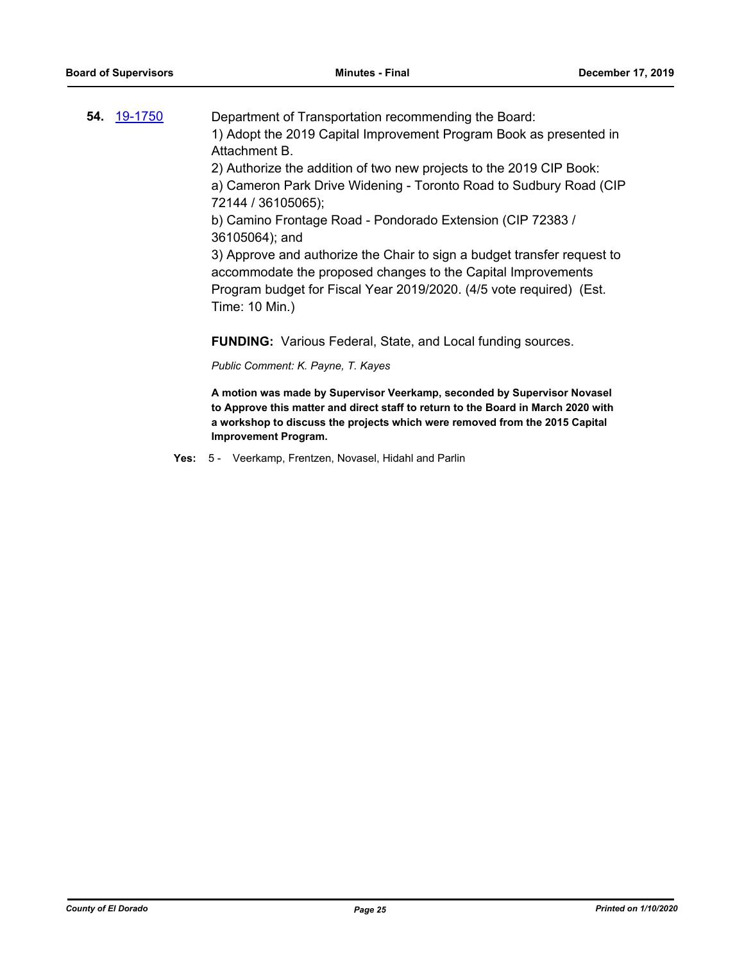| 19-1750<br>54. | Department of Transportation recommending the Board:<br>1) Adopt the 2019 Capital Improvement Program Book as presented in<br>Attachment B.<br>2) Authorize the addition of two new projects to the 2019 CIP Book:<br>a) Cameron Park Drive Widening - Toronto Road to Sudbury Road (CIP                         |
|----------------|------------------------------------------------------------------------------------------------------------------------------------------------------------------------------------------------------------------------------------------------------------------------------------------------------------------|
|                | b) Camino Frontage Road - Pondorado Extension (CIP 72383 /<br>36105064); and<br>3) Approve and authorize the Chair to sign a budget transfer request to<br>accommodate the proposed changes to the Capital Improvements<br>Program budget for Fiscal Year 2019/2020. (4/5 vote required) (Est.<br>Time: 10 Min.) |

**FUNDING:** Various Federal, State, and Local funding sources.

*Public Comment: K. Payne, T. Kayes*

**A motion was made by Supervisor Veerkamp, seconded by Supervisor Novasel to Approve this matter and direct staff to return to the Board in March 2020 with a workshop to discuss the projects which were removed from the 2015 Capital Improvement Program.**

**Yes:** 5 - Veerkamp, Frentzen, Novasel, Hidahl and Parlin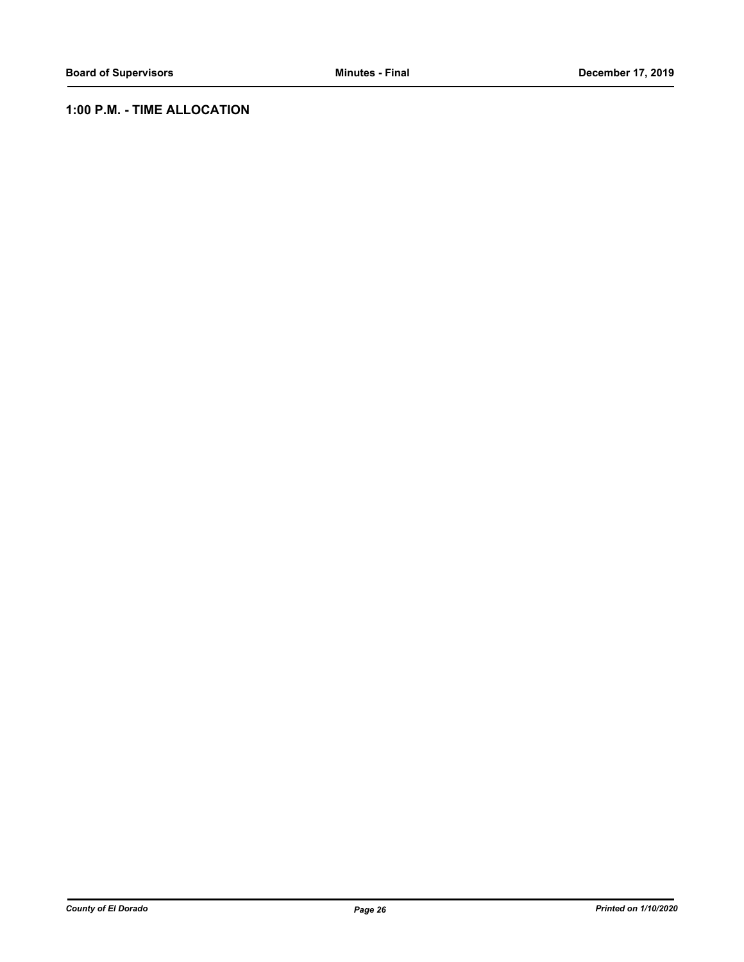## **1:00 P.M. - TIME ALLOCATION**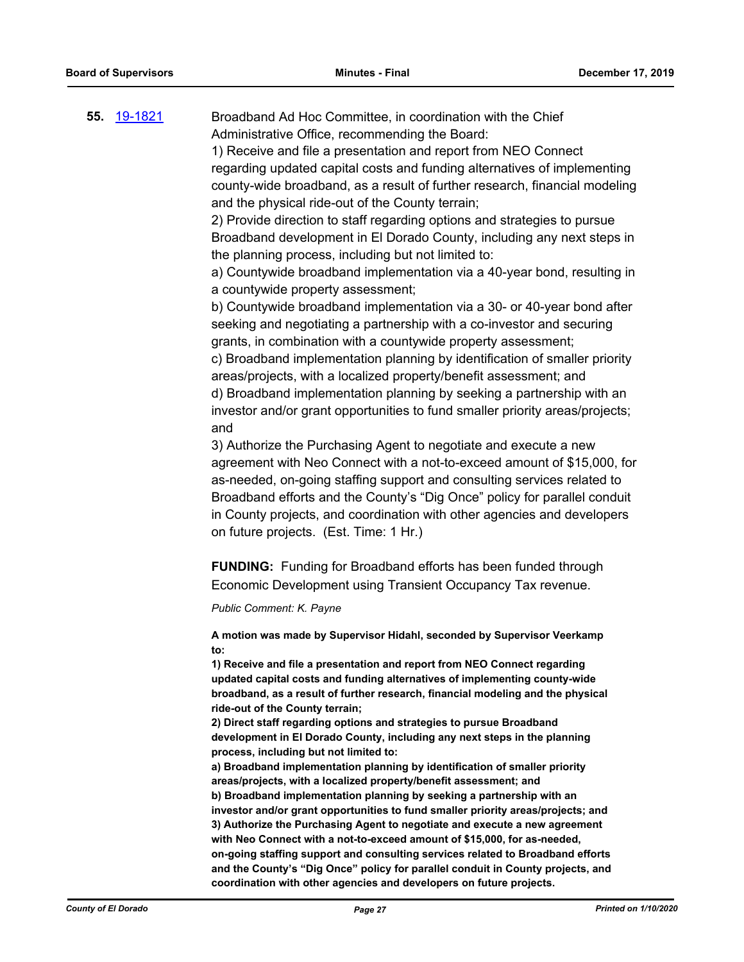**55.** [19-1821](http://eldorado.legistar.com/gateway.aspx?m=l&id=/matter.aspx?key=27145) Broadband Ad Hoc Committee, in coordination with the Chief Administrative Office, recommending the Board: 1) Receive and file a presentation and report from NEO Connect

regarding updated capital costs and funding alternatives of implementing county-wide broadband, as a result of further research, financial modeling and the physical ride-out of the County terrain;

2) Provide direction to staff regarding options and strategies to pursue Broadband development in El Dorado County, including any next steps in the planning process, including but not limited to:

a) Countywide broadband implementation via a 40-year bond, resulting in a countywide property assessment;

b) Countywide broadband implementation via a 30- or 40-year bond after seeking and negotiating a partnership with a co-investor and securing grants, in combination with a countywide property assessment;

c) Broadband implementation planning by identification of smaller priority areas/projects, with a localized property/benefit assessment; and d) Broadband implementation planning by seeking a partnership with an investor and/or grant opportunities to fund smaller priority areas/projects; and

3) Authorize the Purchasing Agent to negotiate and execute a new agreement with Neo Connect with a not-to-exceed amount of \$15,000, for as-needed, on-going staffing support and consulting services related to Broadband efforts and the County's "Dig Once" policy for parallel conduit in County projects, and coordination with other agencies and developers on future projects. (Est. Time: 1 Hr.)

**FUNDING:** Funding for Broadband efforts has been funded through Economic Development using Transient Occupancy Tax revenue.

*Public Comment: K. Payne*

**A motion was made by Supervisor Hidahl, seconded by Supervisor Veerkamp to:**

**1) Receive and file a presentation and report from NEO Connect regarding updated capital costs and funding alternatives of implementing county-wide broadband, as a result of further research, financial modeling and the physical ride-out of the County terrain;**

**2) Direct staff regarding options and strategies to pursue Broadband development in El Dorado County, including any next steps in the planning process, including but not limited to:**

**a) Broadband implementation planning by identification of smaller priority areas/projects, with a localized property/benefit assessment; and b) Broadband implementation planning by seeking a partnership with an investor and/or grant opportunities to fund smaller priority areas/projects; and 3) Authorize the Purchasing Agent to negotiate and execute a new agreement with Neo Connect with a not-to-exceed amount of \$15,000, for as-needed, on-going staffing support and consulting services related to Broadband efforts and the County's "Dig Once" policy for parallel conduit in County projects, and coordination with other agencies and developers on future projects.**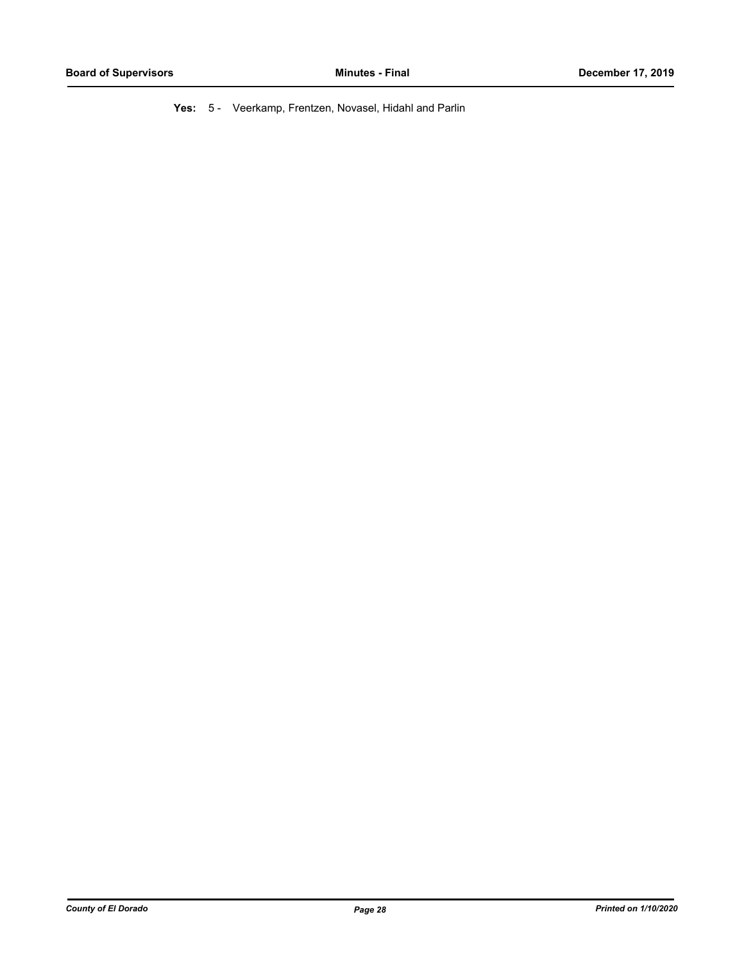**Yes:** 5 - Veerkamp, Frentzen, Novasel, Hidahl and Parlin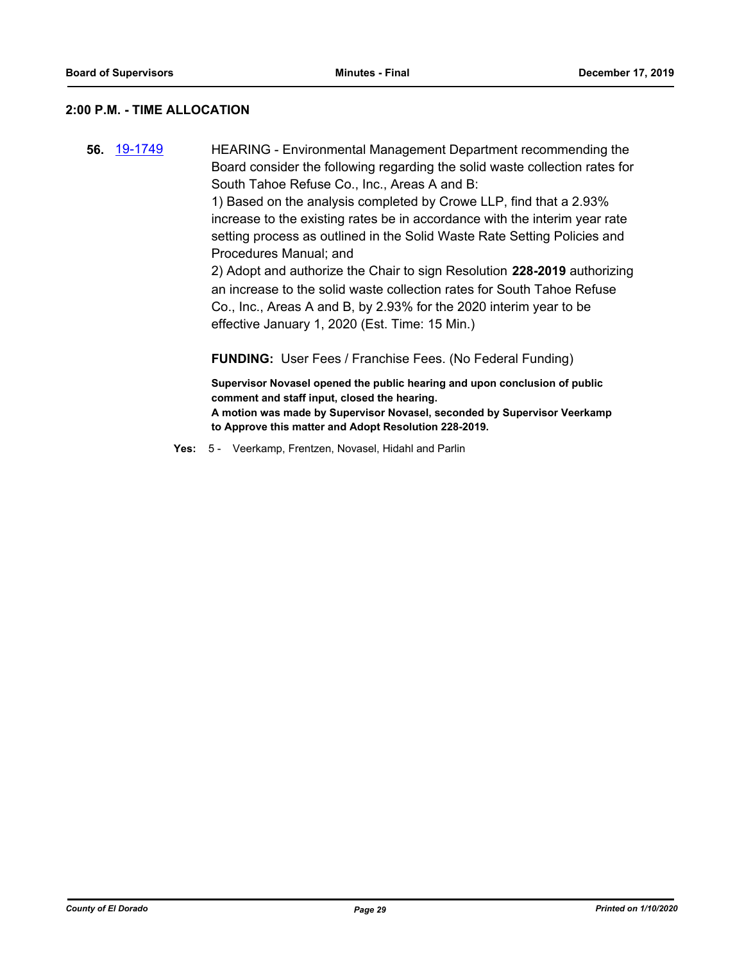#### **2:00 P.M. - TIME ALLOCATION**

**56.** [19-1749](http://eldorado.legistar.com/gateway.aspx?m=l&id=/matter.aspx?key=27073) HEARING - Environmental Management Department recommending the Board consider the following regarding the solid waste collection rates for South Tahoe Refuse Co., Inc., Areas A and B:

> 1) Based on the analysis completed by Crowe LLP, find that a 2.93% increase to the existing rates be in accordance with the interim year rate setting process as outlined in the Solid Waste Rate Setting Policies and Procedures Manual; and

2) Adopt and authorize the Chair to sign Resolution **228-2019** authorizing an increase to the solid waste collection rates for South Tahoe Refuse Co., Inc., Areas A and B, by 2.93% for the 2020 interim year to be effective January 1, 2020 (Est. Time: 15 Min.)

**FUNDING:** User Fees / Franchise Fees. (No Federal Funding)

**Supervisor Novasel opened the public hearing and upon conclusion of public comment and staff input, closed the hearing. A motion was made by Supervisor Novasel, seconded by Supervisor Veerkamp to Approve this matter and Adopt Resolution 228-2019.**

**Yes:** 5 - Veerkamp, Frentzen, Novasel, Hidahl and Parlin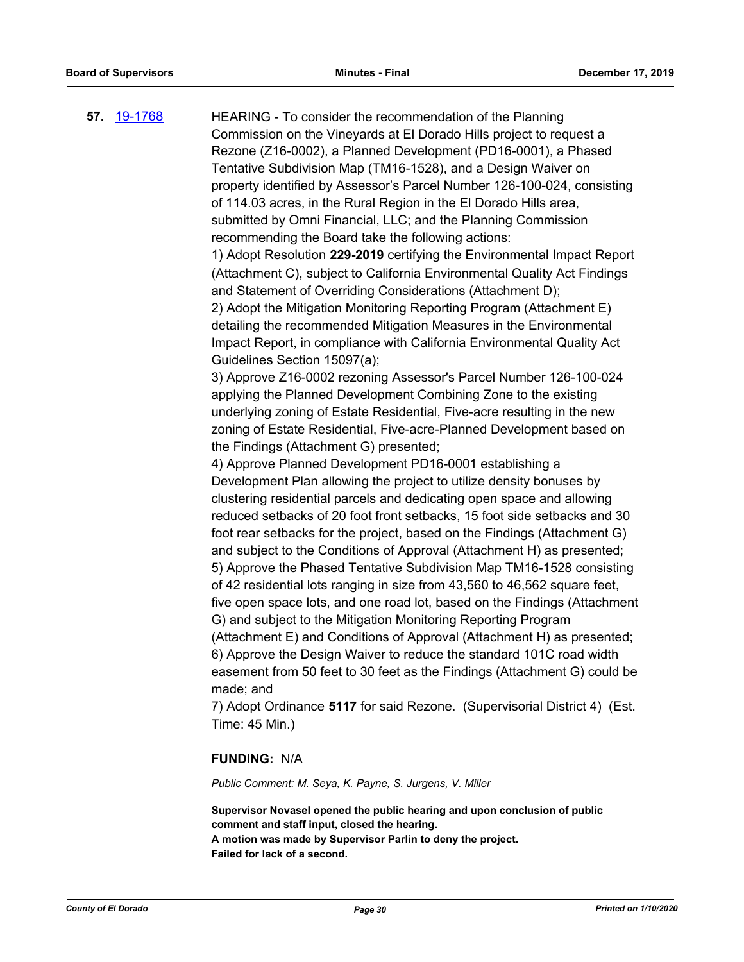**57.** [19-1768](http://eldorado.legistar.com/gateway.aspx?m=l&id=/matter.aspx?key=27092) HEARING - To consider the recommendation of the Planning Commission on the Vineyards at El Dorado Hills project to request a Rezone (Z16-0002), a Planned Development (PD16-0001), a Phased Tentative Subdivision Map (TM16-1528), and a Design Waiver on property identified by Assessor's Parcel Number 126-100-024, consisting of 114.03 acres, in the Rural Region in the El Dorado Hills area, submitted by Omni Financial, LLC; and the Planning Commission recommending the Board take the following actions: 1) Adopt Resolution **229-2019** certifying the Environmental Impact Report (Attachment C), subject to California Environmental Quality Act Findings and Statement of Overriding Considerations (Attachment D); 2) Adopt the Mitigation Monitoring Reporting Program (Attachment E) detailing the recommended Mitigation Measures in the Environmental Impact Report, in compliance with California Environmental Quality Act Guidelines Section 15097(a); 3) Approve Z16-0002 rezoning Assessor's Parcel Number 126-100-024 applying the Planned Development Combining Zone to the existing underlying zoning of Estate Residential, Five-acre resulting in the new zoning of Estate Residential, Five-acre-Planned Development based on the Findings (Attachment G) presented; 4) Approve Planned Development PD16-0001 establishing a Development Plan allowing the project to utilize density bonuses by clustering residential parcels and dedicating open space and allowing reduced setbacks of 20 foot front setbacks, 15 foot side setbacks and 30 foot rear setbacks for the project, based on the Findings (Attachment G) and subject to the Conditions of Approval (Attachment H) as presented; 5) Approve the Phased Tentative Subdivision Map TM16-1528 consisting of 42 residential lots ranging in size from 43,560 to 46,562 square feet, five open space lots, and one road lot, based on the Findings (Attachment G) and subject to the Mitigation Monitoring Reporting Program (Attachment E) and Conditions of Approval (Attachment H) as presented; 6) Approve the Design Waiver to reduce the standard 101C road width easement from 50 feet to 30 feet as the Findings (Attachment G) could be made; and 7) Adopt Ordinance **5117** for said Rezone. (Supervisorial District 4) (Est. Time: 45 Min.)

#### **FUNDING:** N/A

*Public Comment: M. Seya, K. Payne, S. Jurgens, V. Miller*

**Supervisor Novasel opened the public hearing and upon conclusion of public comment and staff input, closed the hearing. A motion was made by Supervisor Parlin to deny the project. Failed for lack of a second.**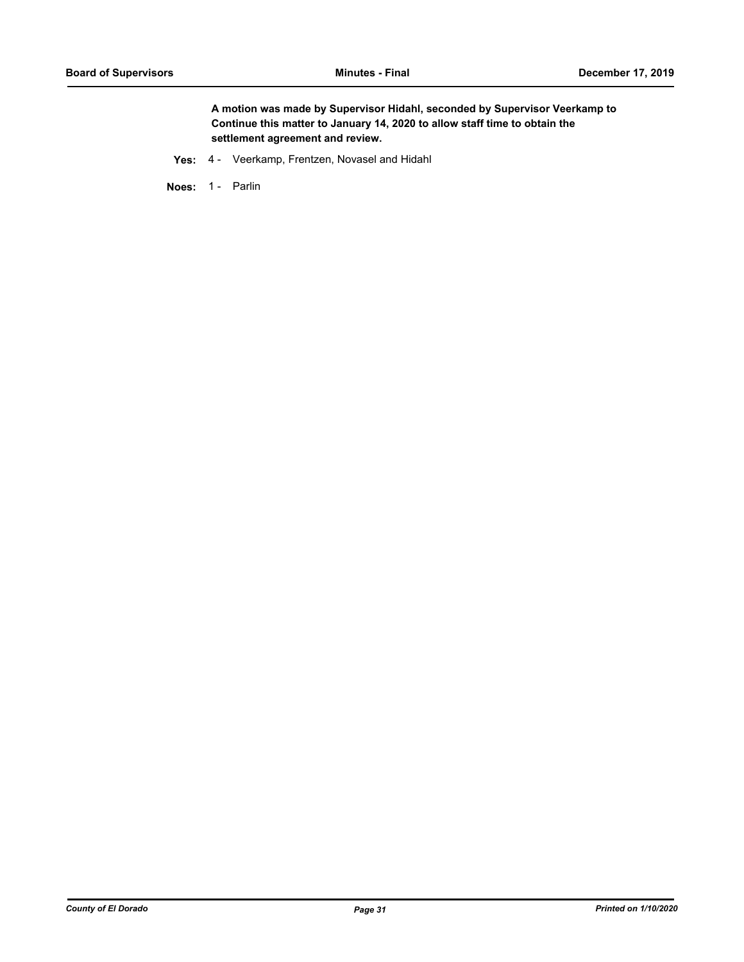**A motion was made by Supervisor Hidahl, seconded by Supervisor Veerkamp to Continue this matter to January 14, 2020 to allow staff time to obtain the settlement agreement and review.**

**Yes:** 4 - Veerkamp, Frentzen, Novasel and Hidahl

Noes: 1 - Parlin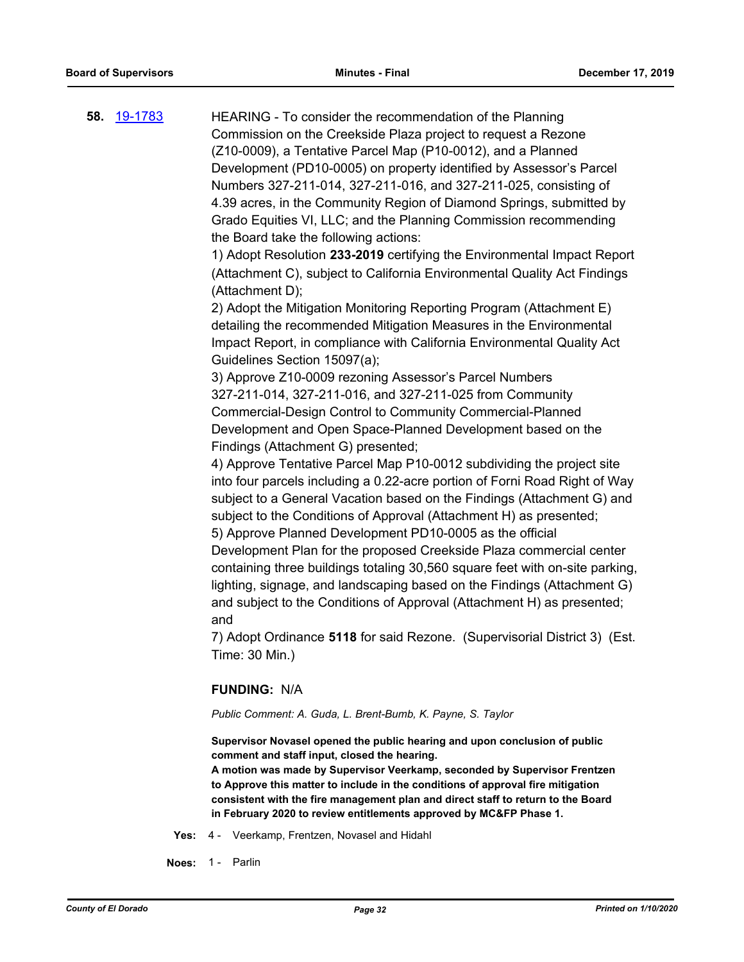**58.** [19-1783](http://eldorado.legistar.com/gateway.aspx?m=l&id=/matter.aspx?key=27107) HEARING - To consider the recommendation of the Planning Commission on the Creekside Plaza project to request a Rezone (Z10-0009), a Tentative Parcel Map (P10-0012), and a Planned Development (PD10-0005) on property identified by Assessor's Parcel Numbers 327-211-014, 327-211-016, and 327-211-025, consisting of 4.39 acres, in the Community Region of Diamond Springs, submitted by Grado Equities VI, LLC; and the Planning Commission recommending the Board take the following actions:

1) Adopt Resolution **233-2019** certifying the Environmental Impact Report (Attachment C), subject to California Environmental Quality Act Findings (Attachment D);

2) Adopt the Mitigation Monitoring Reporting Program (Attachment E) detailing the recommended Mitigation Measures in the Environmental Impact Report, in compliance with California Environmental Quality Act Guidelines Section 15097(a);

3) Approve Z10-0009 rezoning Assessor's Parcel Numbers 327-211-014, 327-211-016, and 327-211-025 from Community Commercial-Design Control to Community Commercial-Planned Development and Open Space-Planned Development based on the Findings (Attachment G) presented;

4) Approve Tentative Parcel Map P10-0012 subdividing the project site into four parcels including a 0.22-acre portion of Forni Road Right of Way subject to a General Vacation based on the Findings (Attachment G) and subject to the Conditions of Approval (Attachment H) as presented; 5) Approve Planned Development PD10-0005 as the official Development Plan for the proposed Creekside Plaza commercial center

containing three buildings totaling 30,560 square feet with on-site parking, lighting, signage, and landscaping based on the Findings (Attachment G) and subject to the Conditions of Approval (Attachment H) as presented; and

7) Adopt Ordinance **5118** for said Rezone. (Supervisorial District 3) (Est. Time: 30 Min.)

#### **FUNDING:** N/A

*Public Comment: A. Guda, L. Brent-Bumb, K. Payne, S. Taylor*

**Supervisor Novasel opened the public hearing and upon conclusion of public comment and staff input, closed the hearing.**

**A motion was made by Supervisor Veerkamp, seconded by Supervisor Frentzen to Approve this matter to include in the conditions of approval fire mitigation consistent with the fire management plan and direct staff to return to the Board in February 2020 to review entitlements approved by MC&FP Phase 1.**

- **Yes:** 4 Veerkamp, Frentzen, Novasel and Hidahl
- **Noes:** 1 Parlin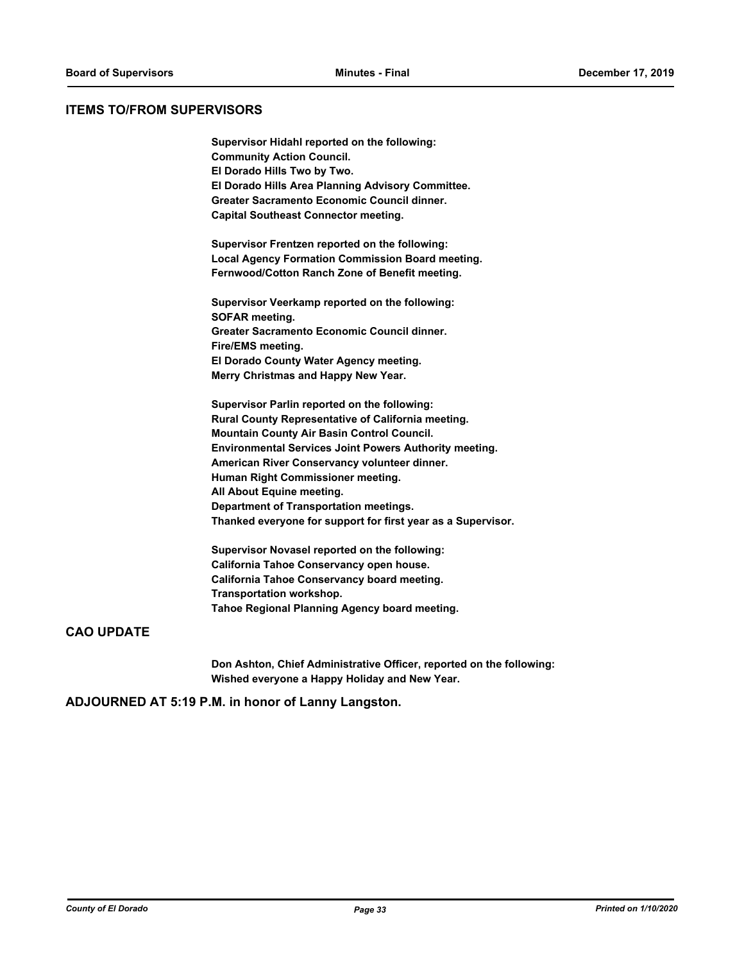#### **ITEMS TO/FROM SUPERVISORS**

**Supervisor Hidahl reported on the following: Community Action Council. El Dorado Hills Two by Two. El Dorado Hills Area Planning Advisory Committee. Greater Sacramento Economic Council dinner. Capital Southeast Connector meeting.**

**Supervisor Frentzen reported on the following: Local Agency Formation Commission Board meeting. Fernwood/Cotton Ranch Zone of Benefit meeting.**

**Supervisor Veerkamp reported on the following: SOFAR meeting. Greater Sacramento Economic Council dinner. Fire/EMS meeting. El Dorado County Water Agency meeting. Merry Christmas and Happy New Year.**

**Supervisor Parlin reported on the following: Rural County Representative of California meeting. Mountain County Air Basin Control Council. Environmental Services Joint Powers Authority meeting. American River Conservancy volunteer dinner. Human Right Commissioner meeting. All About Equine meeting. Department of Transportation meetings. Thanked everyone for support for first year as a Supervisor.**

**Supervisor Novasel reported on the following: California Tahoe Conservancy open house. California Tahoe Conservancy board meeting. Transportation workshop. Tahoe Regional Planning Agency board meeting.**

#### **CAO UPDATE**

**Don Ashton, Chief Administrative Officer, reported on the following: Wished everyone a Happy Holiday and New Year.**

**ADJOURNED AT 5:19 P.M. in honor of Lanny Langston.**